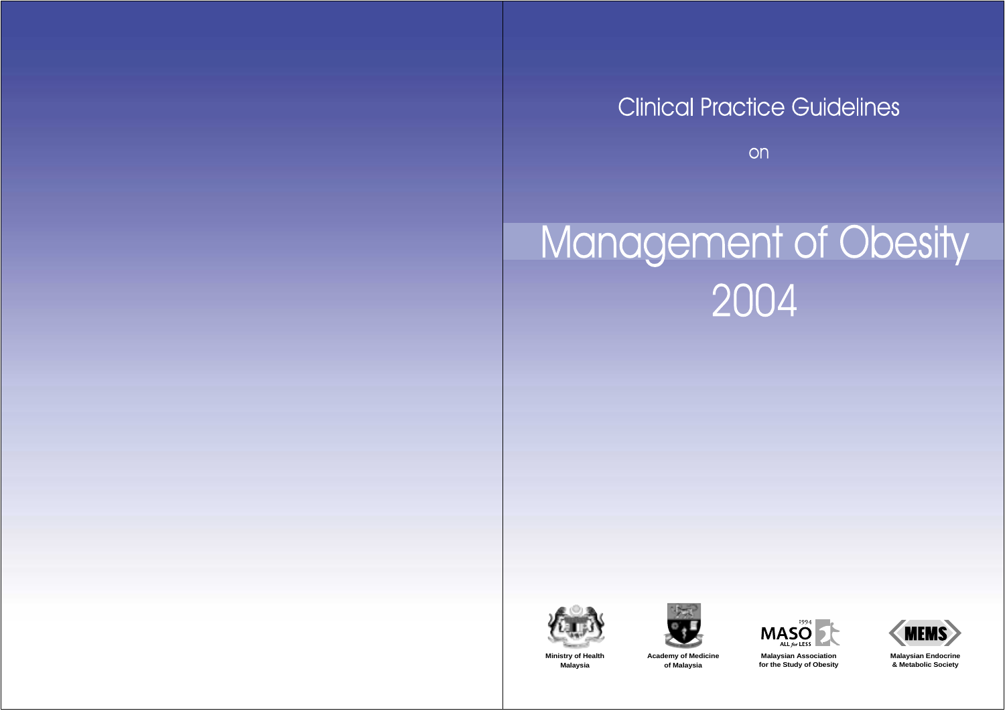# **Clinical Practice Guidelines**

on

# Management of Obesity<br>2004









**Malaysian Endocrine & Metabolic Society**

**Ministry of Health Malaysia**

**Academy of Medicine of Malaysia**

**Malaysian Association for the Study of Obesity**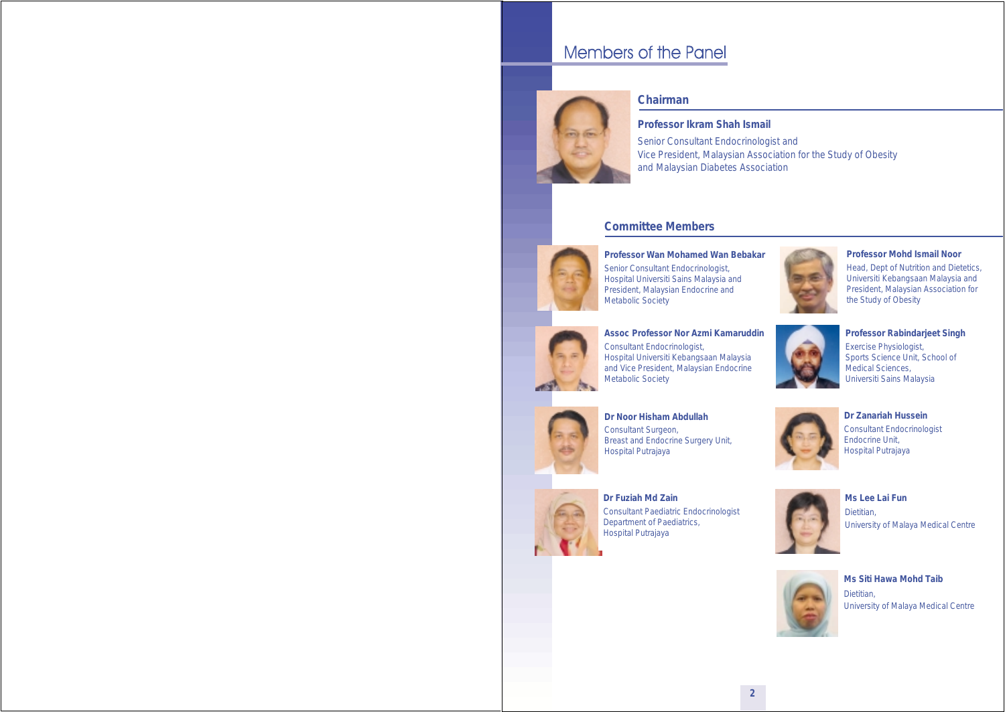# Members of the Panel



#### *Chairman*

**Professor Ikram Shah Ismail**

Senior Consultant Endocrinologist and Vice President, Malaysian Association for the Study of Obesity and Malaysian Diabetes Association

#### *Committee Members*



**Professor Wan Mohamed Wan Bebakar** Senior Consultant Endocrinologist, Hospital Universiti Sains Malaysia and President, Malaysian Endocrine and Metabolic Society



**Professor Mohd Ismail Noor** Head, Dept of Nutrition and Dietetics, Universiti Kebangsaan Malaysia and President, Malaysian Association for the Study of Obesity



**Assoc Professor Nor Azmi Kamaruddin** Consultant Endocrinologist, Hospital Universiti Kebangsaan Malaysia and Vice President, Malaysian Endocrine Metabolic Society



**Professor Rabindarjeet Singh** Exercise Physiologist, Sports Science Unit, School of Medical Sciences, Universiti Sains Malaysia



**Dr Noor Hisham Abdullah** Consultant Surgeon, Breast and Endocrine Surgery Unit, Hospital Putrajaya







**Dr Fuziah Md Zain** Consultant Paediatric Endocrinologist Department of Paediatrics, Hospital Putrajaya



**Ms Lee Lai Fun** Dietitian, University of Malaya Medical Centre



**Ms Siti Hawa Mohd Taib** Dietitian, University of Malaya Medical Centre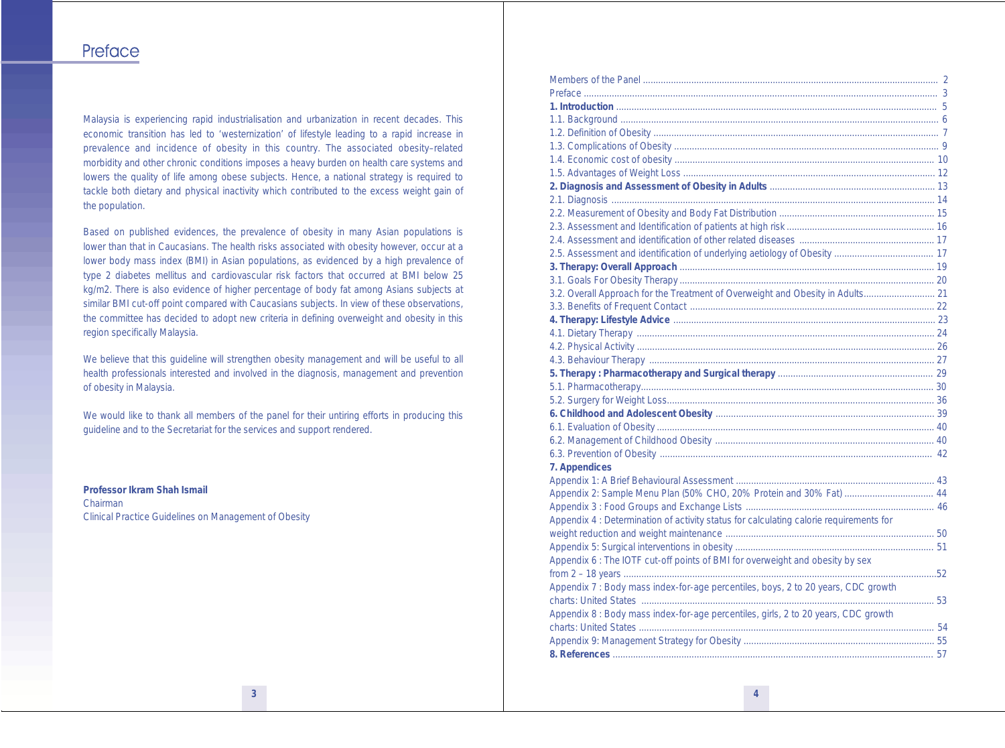## Preface

Malaysia is experiencing rapid industrialisation and urbanization in recent decades. This economic transition has led to 'westernization' of lifestyle leading to a rapid increase in prevalence and incidence of obesity in this country. The associated obesity–related morbidity and other chronic conditions imposes a heavy burden on health care systems and lowers the quality of life among obese subjects. Hence, a national strategy is required to tackle both dietary and physical inactivity which contributed to the excess weight gain of the population.

Based on published evidences, the prevalence of obesity in many Asian populations is lower than that in Caucasians. The health risks associated with obesity however, occur at a lower body mass index (BMI) in Asian populations, as evidenced by a high prevalence of type 2 diabetes mellitus and cardiovascular risk factors that occurred at BMI below 25 kg/m2. There is also evidence of higher percentage of body fat among Asians subjects at similar BMI cut-off point compared with Caucasians subjects. In view of these observations, the committee has decided to adopt new criteria in defining overweight and obesity in this region specifically Malaysia.

We believe that this guideline will strengthen obesity management and will be useful to all health professionals interested and involved in the diagnosis, management and prevention of obesity in Malaysia.

We would like to thank all members of the panel for their untiring efforts in producing this guideline and to the Secretariat for the services and support rendered.

**Professor Ikram Shah Ismail** Chairman Clinical Practice Guidelines on Management of Obesity

| 3.2. Overall Approach for the Treatment of Overweight and Obesity in Adults 21         |  |
|----------------------------------------------------------------------------------------|--|
|                                                                                        |  |
|                                                                                        |  |
|                                                                                        |  |
|                                                                                        |  |
|                                                                                        |  |
|                                                                                        |  |
|                                                                                        |  |
|                                                                                        |  |
|                                                                                        |  |
|                                                                                        |  |
|                                                                                        |  |
|                                                                                        |  |
| 7. Appendices                                                                          |  |
|                                                                                        |  |
| Appendix 2: Sample Menu Plan (50% CHO, 20% Protein and 30% Fat)  44                    |  |
|                                                                                        |  |
| Appendix 4 : Determination of activity status for calculating calorie requirements for |  |
|                                                                                        |  |
|                                                                                        |  |
| Appendix 6 : The IOTF cut-off points of BMI for overweight and obesity by sex          |  |
|                                                                                        |  |
| Appendix 7 : Body mass index-for-age percentiles, boys, 2 to 20 years, CDC growth      |  |
|                                                                                        |  |
| Appendix 8 : Body mass index-for-age percentiles, girls, 2 to 20 years, CDC growth     |  |
|                                                                                        |  |
|                                                                                        |  |
|                                                                                        |  |
|                                                                                        |  |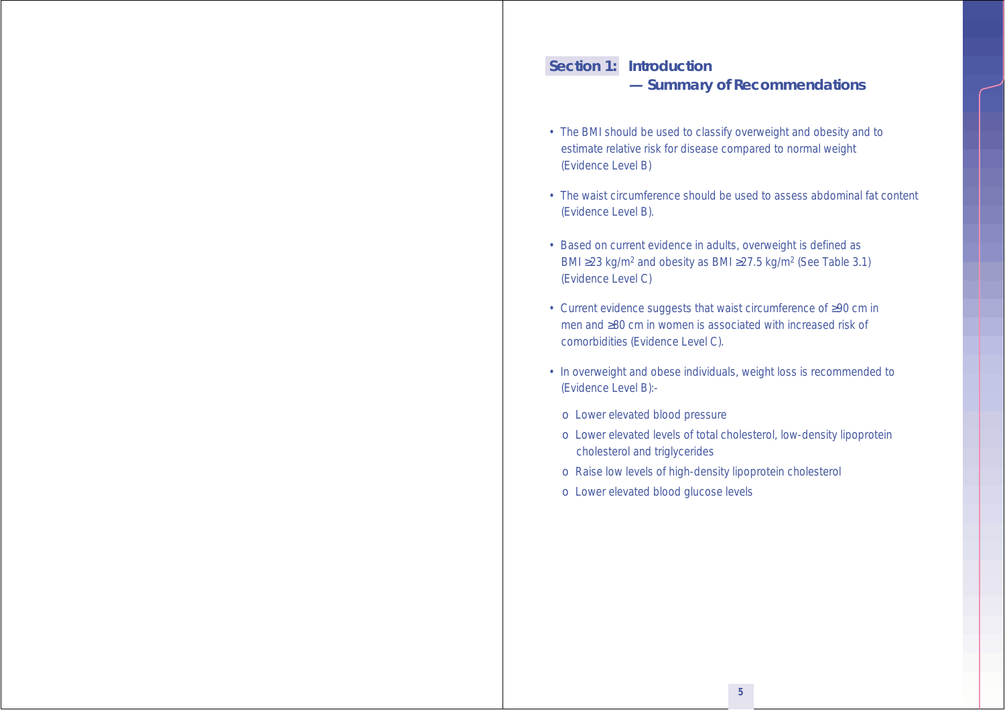## **Section 1: Introduction — Summary of Recommendations**

- The BMI should be used to classify overweight and obesity and to estimate relative risk for disease compared to normal weight (Evidence Level B)
- The waist circumference should be used to assess abdominal fat content (Evidence Level B).
- Based on current evidence in adults, overweight is defined as BMI ≥23 kg/m2 and obesity as BMI ≥27.5 kg/m2 (See Table 3.1) (Evidence Level C)
- Current evidence suggests that waist circumference of ≥90 cm in men and ≥80 cm in women is associated with increased risk of comorbidities (Evidence Level C).
- In overweight and obese individuals, weight loss is recommended to (Evidence Level B):
	- o Lower elevated blood pressure
	- o Lower elevated levels of total cholesterol, low-density lipoprotein cholesterol and triglycerides
	- o Raise low levels of high-density lipoprotein cholesterol
	- o Lower elevated blood glucose levels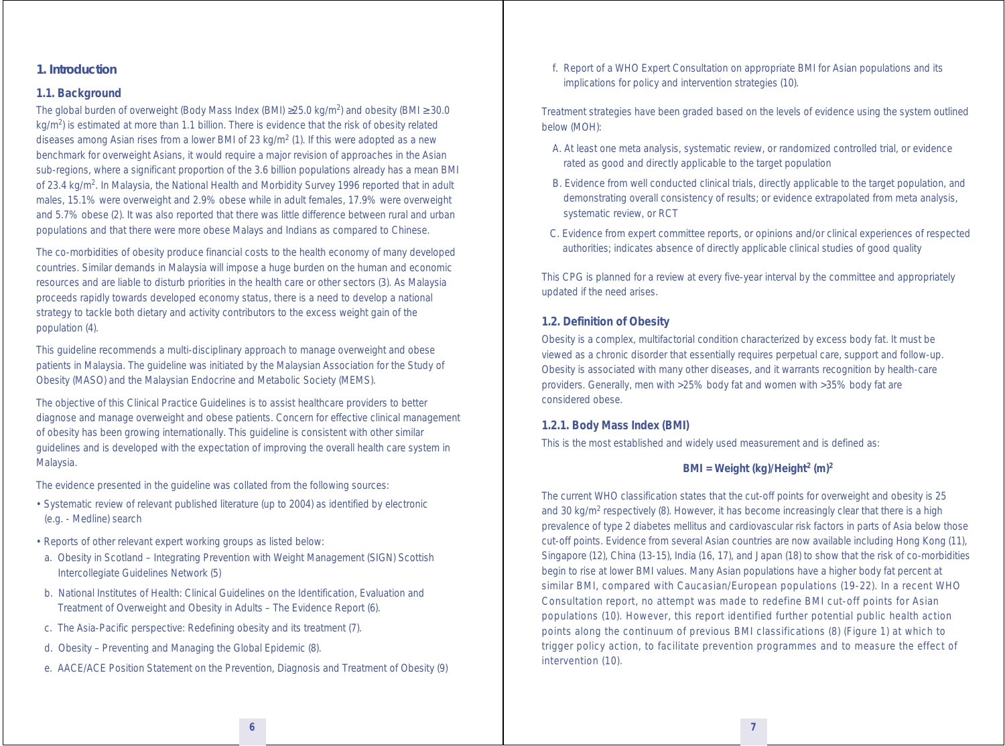#### **1. Introduction**

#### **1.1. Background**

The global burden of overweight (Body Mass Index (BMI)  $\geq$ 25.0 kg/m<sup>2</sup>) and obesity (BMI  $\geq$  30.0  $kq/m<sup>2</sup>$ ) is estimated at more than 1.1 billion. There is evidence that the risk of obesity related diseases among Asian rises from a lower BMI of 23 kg/m<sup>2</sup> (1). If this were adopted as a new benchmark for overweight Asians, it would require a major revision of approaches in the Asian sub-regions, where a significant proportion of the 3.6 billion populations already has a mean BMI of 23.4 kg/m2. In Malaysia, the National Health and Morbidity Survey 1996 reported that in adult males, 15.1% were overweight and 2.9% obese while in adult females, 17.9% were overweight and 5.7% obese (2). It was also reported that there was little difference between rural and urban populations and that there were more obese Malays and Indians as compared to Chinese.

The co-morbidities of obesity produce financial costs to the health economy of many developed countries. Similar demands in Malaysia will impose a huge burden on the human and economic resources and are liable to disturb priorities in the health care or other sectors (3). As Malaysia proceeds rapidly towards developed economy status, there is a need to develop a national strategy to tackle both dietary and activity contributors to the excess weight gain of the population (4).

This guideline recommends a multi-disciplinary approach to manage overweight and obese patients in Malaysia. The guideline was initiated by the Malaysian Association for the Study of Obesity (MASO) and the Malaysian Endocrine and Metabolic Society (MEMS).

The objective of this Clinical Practice Guidelines is to assist healthcare providers to better diagnose and manage overweight and obese patients. Concern for effective clinical management of obesity has been growing internationally. This guideline is consistent with other similar guidelines and is developed with the expectation of improving the overall health care system in Malaysia.

The evidence presented in the guideline was collated from the following sources:

- Systematic review of relevant published literature (up to 2004) as identified by electronic (e.g. - Medline) search
- Reports of other relevant expert working groups as listed below:
- a. Obesity in Scotland Integrating Prevention with Weight Management (SIGN) Scottish Intercollegiate Guidelines Network (5)
- b. National Institutes of Health: Clinical Guidelines on the Identification, Evaluation and Treatment of Overweight and Obesity in Adults – The Evidence Report (6).
- c. The Asia-Pacific perspective: Redefining obesity and its treatment (7).
- d. Obesity Preventing and Managing the Global Epidemic (8).
- e. AACE/ACE Position Statement on the Prevention, Diagnosis and Treatment of Obesity (9)

 f. Report of a WHO Expert Consultation on appropriate BMI for Asian populations and its implications for policy and intervention strategies (10).

Treatment strategies have been graded based on the levels of evidence using the system outlined below (MOH):

- A. At least one meta analysis, systematic review, or randomized controlled trial, or evidence rated as good and directly applicable to the target population
- B. Evidence from well conducted clinical trials, directly applicable to the target population, and demonstrating overall consistency of results; or evidence extrapolated from meta analysis, systematic review, or RCT
- C. Evidence from expert committee reports, or opinions and/or clinical experiences of respected authorities; indicates absence of directly applicable clinical studies of good quality

This CPG is planned for a review at every five-year interval by the committee and appropriately updated if the need arises.

#### **1.2. Definition of Obesity**

Obesity is a complex, multifactorial condition characterized by excess body fat. It must be viewed as a chronic disorder that essentially requires perpetual care, support and follow-up. Obesity is associated with many other diseases, and it warrants recognition by health-care providers. Generally, men with >25% body fat and women with >35% body fat are considered obese.

#### *1.2.1. Body Mass Index (BMI)*

This is the most established and widely used measurement and is defined as:

#### **BMI = Weight (kg)/Height2 (m)2**

The current WHO classification states that the cut-off points for overweight and obesity is 25 and 30 kg/m<sup>2</sup> respectively (8). However, it has become increasingly clear that there is a high prevalence of type 2 diabetes mellitus and cardiovascular risk factors in parts of Asia below those cut-off points. Evidence from several Asian countries are now available including Hong Kong (11), Singapore (12), China (13-15), India (16, 17), and Japan (18) to show that the risk of co-morbidities begin to rise at lower BMI values. Many Asian populations have a higher body fat percent at similar BMI, compared with Caucasian/European populations (19-22). In a recent WHO Consultation report, no attempt was made to redefine BMI cut-off points for Asian populations (10). However, this report identified further potential public health action points along the continuum of previous BMI classifications (8) (Figure 1) at which to trigger policy action, to facilitate prevention programmes and to measure the effect of intervention (10).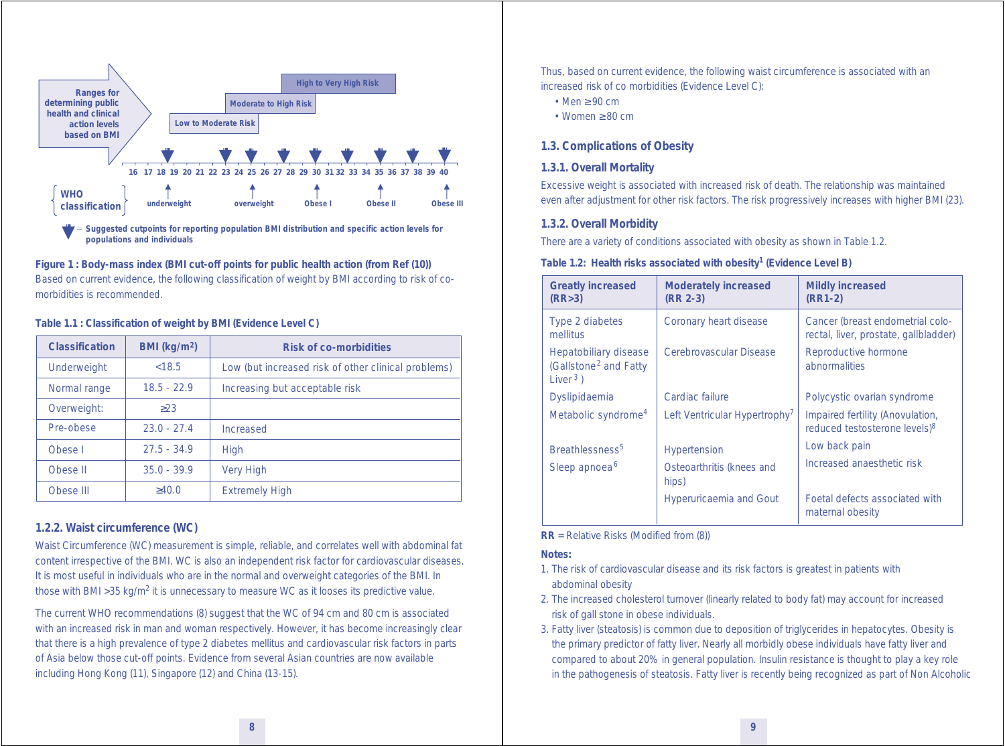

**Figure 1 : Body-mass index (BMI cut-off points for public health action (from Ref (10))** Based on current evidence, the following classification of weight by BMI according to risk of comorbidities is recommended.

#### **Table 1.1 : Classification of weight by BMI (Evidence Level C)**

| <b>Classification</b> | BMI (kg/m <sup>2</sup> ) | <b>Risk of co-morbidities</b>                       |
|-----------------------|--------------------------|-----------------------------------------------------|
| Underweight           | < 18.5                   | Low (but increased risk of other clinical problems) |
| Normal range          | $18.5 - 22.9$            | Increasing but acceptable risk                      |
| Overweight:           | >23                      |                                                     |
| Pre-obese             | $23.0 - 27.4$            | Increased                                           |
| Obese I               | $27.5 - 34.9$            | High                                                |
| Obese II              | $35.0 - 39.9$            | <b>Very High</b>                                    |
| Obese III             | $\geq 40.0$              | <b>Extremely High</b>                               |

#### *1.2.2. Waist circumference (WC)*

Waist Circumference (WC) measurement is simple, reliable, and correlates well with abdominal fat content irrespective of the BMI. WC is also an independent risk factor for cardiovascular diseases. It is most useful in individuals who are in the normal and overweight categories of the BMI. In those with BMI > 35 kg/m<sup>2</sup> it is unnecessary to measure WC as it looses its predictive value.

The current WHO recommendations (8) suggest that the WC of 94 cm and 80 cm is associated with an increased risk in man and woman respectively. However, it has become increasingly clear that there is a high prevalence of type 2 diabetes mellitus and cardiovascular risk factors in parts of Asia below those cut-off points. Evidence from several Asian countries are now available including Hong Kong (11), Singapore (12) and China (13-15).

Thus, based on current evidence, the following waist circumference is associated with an increased risk of co morbidities (Evidence Level C):

- Men ≥ 90 cm
- Women ≥ 80 cm

#### **1.3. Complications of Obesity**

#### *1.3.1. Overall Mortality*

Excessive weight is associated with increased risk of death. The relationship was maintained even after adjustment for other risk factors. The risk progressively increases with higher BMI (23).

#### *1.3.2. Overall Morbidity*

There are a variety of conditions associated with obesity as shown in Table 1.2.

#### **Table 1.2: Health risks associated with obesity1 (Evidence Level B)**

| <b>Greatly increased</b><br>(RR>3)                                        | <b>Moderately increased</b><br>(RR 2-3)   | <b>Mildly increased</b><br>$(RR1-2)$                                          |
|---------------------------------------------------------------------------|-------------------------------------------|-------------------------------------------------------------------------------|
| Type 2 diabetes<br>mellitus                                               | Coronary heart disease                    | Cancer (breast endometrial colo-<br>rectal, liver, prostate, gallbladder)     |
| Hepatobiliary disease<br>(Gallstone <sup>2</sup> and Fatty<br>Liver $3$ ) | Cerebrovascular Disease                   | Reproductive hormone<br>abnormalities                                         |
| Dyslipidaemia                                                             | Cardiac failure                           | Polycystic ovarian syndrome                                                   |
| Metabolic syndrome <sup>4</sup>                                           | Left Ventricular Hypertrophy <sup>7</sup> | Impaired fertility (Anovulation,<br>reduced testosterone levels) <sup>8</sup> |
| Breathlessness <sup>5</sup>                                               | <b>Hypertension</b>                       | Low back pain                                                                 |
| Sleep apnoea <sup>6</sup>                                                 | Osteoarthritis (knees and<br>hips)        | Increased anaesthetic risk                                                    |
|                                                                           | <b>Hyperuricaemia and Gout</b>            | Foetal defects associated with<br>maternal obesity                            |

#### **RR** = Relative Risks (Modified from (8))

#### **Notes:**

- 1. The risk of cardiovascular disease and its risk factors is greatest in patients with abdominal obesity
- 2. The increased cholesterol turnover (linearly related to body fat) may account for increased risk of gall stone in obese individuals.
- 3. Fatty liver (steatosis) is common due to deposition of triglycerides in hepatocytes. Obesity is the primary predictor of fatty liver. Nearly all morbidly obese individuals have fatty liver and compared to about 20% in general population. Insulin resistance is thought to play a key role in the pathogenesis of steatosis. Fatty liver is recently being recognized as part of Non Alcoholic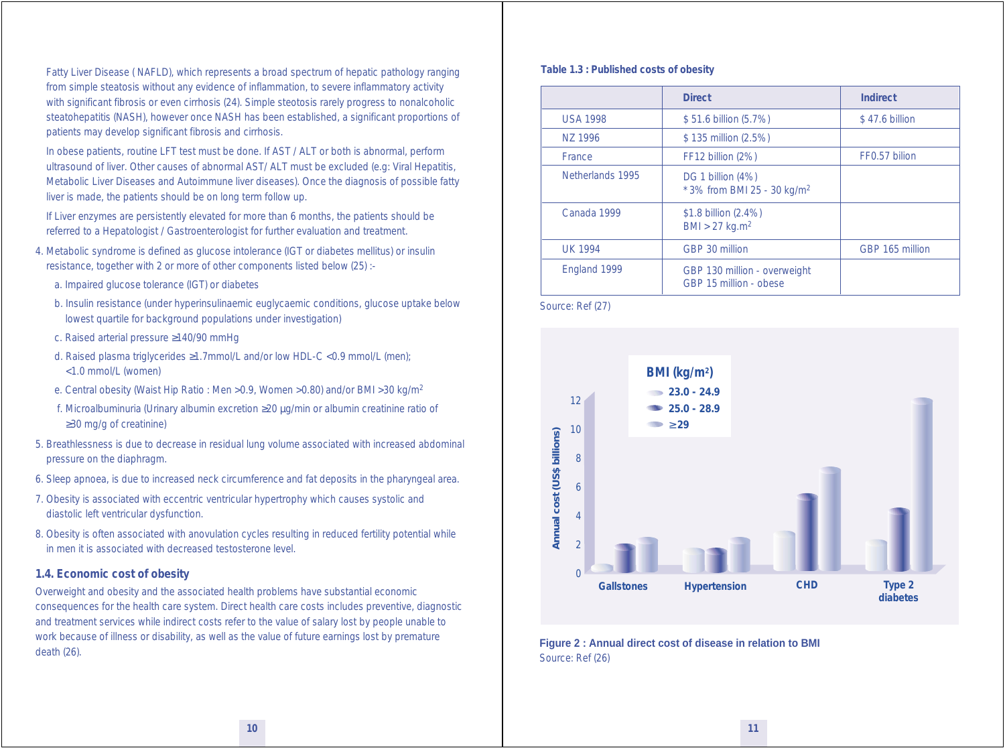Fatty Liver Disease ( NAFLD), which represents a broad spectrum of hepatic pathology ranging from simple steatosis without any evidence of inflammation, to severe inflammatory activity with significant fibrosis or even cirrhosis (24). Simple steotosis rarely progress to nonalcoholic steatohepatitis (NASH), however once NASH has been established, a significant proportions of patients may develop significant fibrosis and cirrhosis.

 In obese patients, routine LFT test must be done. If AST / ALT or both is abnormal, perform ultrasound of liver. Other causes of abnormal AST/ ALT must be excluded (e.g: Viral Hepatitis, Metabolic Liver Diseases and Autoimmune liver diseases). Once the diagnosis of possible fatty liver is made, the patients should be on long term follow up.

 If Liver enzymes are persistently elevated for more than 6 months, the patients should be referred to a Hepatologist / Gastroenterologist for further evaluation and treatment.

- 4. Metabolic syndrome is defined as glucose intolerance (IGT or diabetes mellitus) or insulin resistance, together with 2 or more of other components listed below (25) :
	- a. Impaired glucose tolerance (IGT) or diabetes
	- b. Insulin resistance (under hyperinsulinaemic euglycaemic conditions, glucose uptake below lowest quartile for background populations under investigation)
	- c. Raised arterial pressure ≥140/90 mmHg
	- d. Raised plasma triglycerides ≥1.7mmol/L and/or low HDL-C <0.9 mmol/L (men); <1.0 mmol/L (women)
	- e. Central obesity (Waist Hip Ratio : Men >0.9, Women >0.80) and/or BMI >30 kg/m<sup>2</sup>
	- f. Microalbuminuria (Urinary albumin excretion ≥20 µg/min or albumin creatinine ratio of ≥30 mg/g of creatinine)
- 5. Breathlessness is due to decrease in residual lung volume associated with increased abdominal pressure on the diaphragm.
- 6. Sleep apnoea, is due to increased neck circumference and fat deposits in the pharyngeal area.
- 7. Obesity is associated with eccentric ventricular hypertrophy which causes systolic and diastolic left ventricular dysfunction.
- 8. Obesity is often associated with anovulation cycles resulting in reduced fertility potential while in men it is associated with decreased testosterone level.

#### **1.4. Economic cost of obesity**

Overweight and obesity and the associated health problems have substantial economic consequences for the health care system. Direct health care costs includes preventive, diagnostic and treatment services while indirect costs refer to the value of salary lost by people unable to work because of illness or disability, as well as the value of future earnings lost by premature death (26).

#### **Table 1.3 : Published costs of obesity**

|                  | <b>Direct</b>                                                  | <b>Indirect</b> |
|------------------|----------------------------------------------------------------|-----------------|
| <b>USA 1998</b>  | \$51.6 billion (5.7%)                                          | \$47.6 billion  |
| NZ 1996          | \$135 million (2.5%)                                           |                 |
| France           | FF12 billion (2%)                                              | FF0.57 bilion   |
| Netherlands 1995 | DG 1 billion (4%)<br>$*$ 3% from BMI 25 - 30 kg/m <sup>2</sup> |                 |
| Canada 1999      | \$1.8 billion (2.4%)<br>$BMI > 27$ kg.m <sup>2</sup>           |                 |
| <b>UK 1994</b>   | GBP 30 million                                                 | GBP 165 million |
| England 1999     | GBP 130 million - overweight<br>GBP 15 million - obese         |                 |

Source: Ref (27)



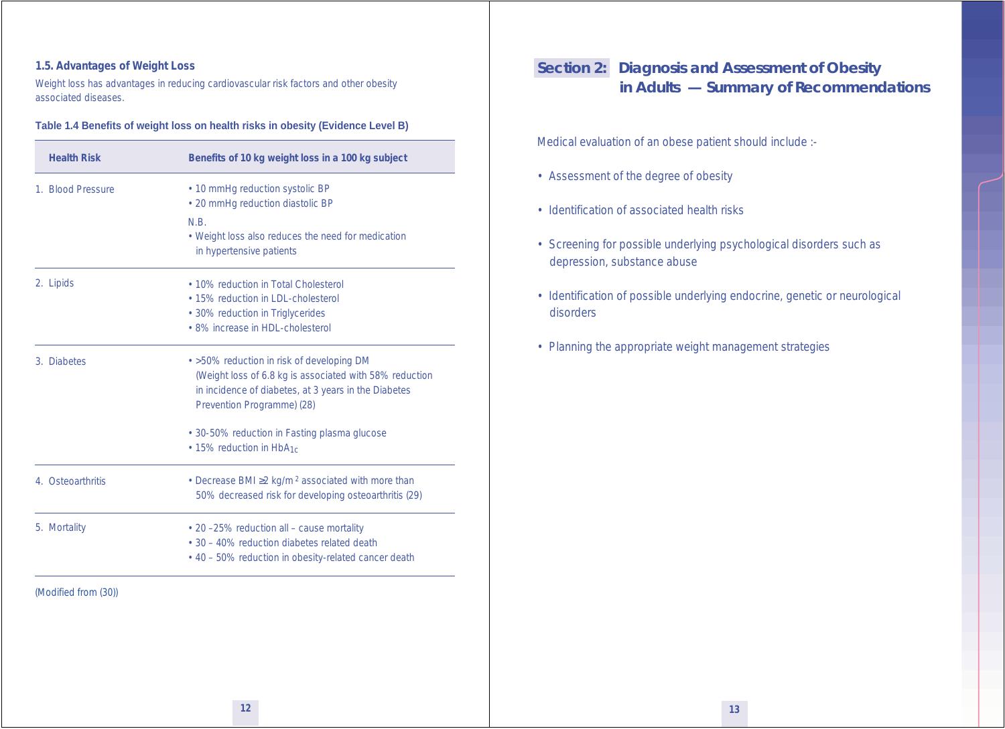#### **1.5. Advantages of Weight Loss**

Weight loss has advantages in reducing cardiovascular risk factors and other obesity associated diseases.

#### **Table 1.4 Benefits of weight loss on health risks in obesity (Evidence Level B)**

| <b>Health Risk</b> | Benefits of 10 kg weight loss in a 100 kg subject                   |
|--------------------|---------------------------------------------------------------------|
| 1. Blood Pressure  | • 10 mmHg reduction systolic BP                                     |
|                    | · 20 mmHg reduction diastolic BP                                    |
|                    | N.B.                                                                |
|                    | • Weight loss also reduces the need for medication                  |
|                    | in hypertensive patients                                            |
| 2. Lipids          | • 10% reduction in Total Cholesterol                                |
|                    | • 15% reduction in LDL-cholesterol                                  |
|                    | • 30% reduction in Triglycerides                                    |
|                    | • 8% increase in HDL-cholesterol                                    |
| 3. Diabetes        | • >50% reduction in risk of developing DM                           |
|                    | (Weight loss of 6.8 kg is associated with 58% reduction             |
|                    | in incidence of diabetes, at 3 years in the Diabetes                |
|                    | Prevention Programme) (28)                                          |
|                    | • 30-50% reduction in Fasting plasma glucose                        |
|                    | • 15% reduction in HbA <sub>1c</sub>                                |
| 4. Osteoarthritis  | • Decrease BMI $\geq$ 2 kg/m <sup>2</sup> associated with more than |
|                    | 50% decreased risk for developing osteoarthritis (29)               |
| 5. Mortality       | • 20-25% reduction all - cause mortality                            |
|                    | • 30 – 40% reduction diabetes related death                         |
|                    | • 40 – 50% reduction in obesity-related cancer death                |

# **Section 2: Diagnosis and Assessment of Obesity in Adults — Summary of Recommendations**

Medical evaluation of an obese patient should include :-

- Assessment of the degree of obesity
- Identification of associated health risks
- Screening for possible underlying psychological disorders such as depression, substance abuse
- Identification of possible underlying endocrine, genetic or neurological disorders
- Planning the appropriate weight management strategies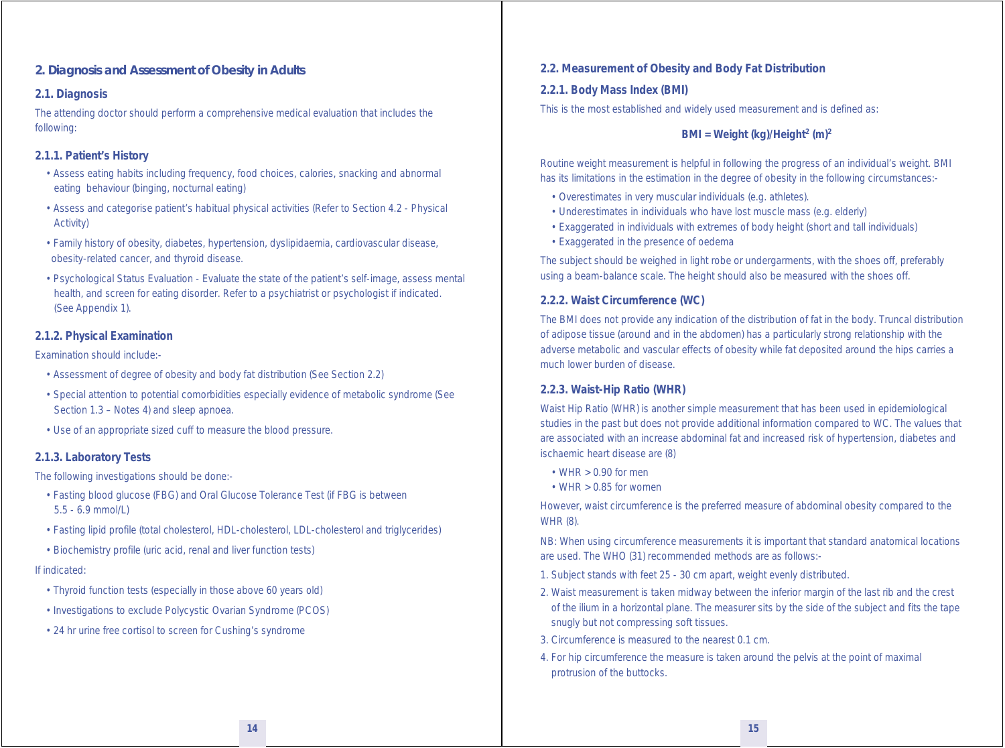#### **2. Diagnosis and Assessment of Obesity in Adults**

#### **2.1. Diagnosis**

The attending doctor should perform a comprehensive medical evaluation that includes the following:

#### *2.1.1. Patient's History*

- Assess eating habits including frequency, food choices, calories, snacking and abnormal eating behaviour (binging, nocturnal eating)
- Assess and categorise patient's habitual physical activities (Refer to Section 4.2 Physical Activity)
- Family history of obesity, diabetes, hypertension, dyslipidaemia, cardiovascular disease, obesity-related cancer, and thyroid disease.
- Psychological Status Evaluation Evaluate the state of the patient's self-image, assess mental health, and screen for eating disorder. Refer to a psychiatrist or psychologist if indicated. (See Appendix 1).

#### *2.1.2. Physical Examination*

#### Examination should include:-

- Assessment of degree of obesity and body fat distribution (See Section 2.2)
- Special attention to potential comorbidities especially evidence of metabolic syndrome (See Section 1.3 – Notes 4) and sleep apnoea.
- Use of an appropriate sized cuff to measure the blood pressure.

#### *2.1.3. Laboratory Tests*

The following investigations should be done:-

- Fasting blood glucose (FBG) and Oral Glucose Tolerance Test (if FBG is between 5.5 - 6.9 mmol/L)
- Fasting lipid profile (total cholesterol, HDL-cholesterol, LDL-cholesterol and triglycerides)
- Biochemistry profile (uric acid, renal and liver function tests)

#### If indicated:

- Thyroid function tests (especially in those above 60 years old)
- Investigations to exclude Polycystic Ovarian Syndrome (PCOS)
- 24 hr urine free cortisol to screen for Cushing's syndrome

#### **2.2. Measurement of Obesity and Body Fat Distribution**

#### *2.2.1. Body Mass Index (BMI)*

This is the most established and widely used measurement and is defined as:

#### **BMI** = Weight (kg)/Height<sup>2</sup> (m)<sup>2</sup>

Routine weight measurement is helpful in following the progress of an individual's weight. BMI has its limitations in the estimation in the degree of obesity in the following circumstances:-

- Overestimates in very muscular individuals (e.g. athletes).
- Underestimates in individuals who have lost muscle mass (e.g. elderly)
- Exaggerated in individuals with extremes of body height (short and tall individuals)
- Exaggerated in the presence of oedema

The subject should be weighed in light robe or undergarments, with the shoes off, preferably using a beam-balance scale. The height should also be measured with the shoes off.

#### *2.2.2. Waist Circumference (WC)*

The BMI does not provide any indication of the distribution of fat in the body. Truncal distribution of adipose tissue (around and in the abdomen) has a particularly strong relationship with the adverse metabolic and vascular effects of obesity while fat deposited around the hips carries a much lower burden of disease.

#### *2.2.3. Waist-Hip Ratio (WHR)*

Waist Hip Ratio (WHR) is another simple measurement that has been used in epidemiological studies in the past but does not provide additional information compared to WC. The values that are associated with an increase abdominal fat and increased risk of hypertension, diabetes and ischaemic heart disease are (8)

- $\cdot$  WHR  $> 0.90$  for men
- $\cdot$  WHR  $> 0.85$  for women

However, waist circumference is the preferred measure of abdominal obesity compared to the WHR (8).

NB: When using circumference measurements it is important that standard anatomical locations are used. The WHO (31) recommended methods are as follows:-

- 1. Subject stands with feet 25 30 cm apart, weight evenly distributed.
- 2. Waist measurement is taken midway between the inferior margin of the last rib and the crest of the ilium in a horizontal plane. The measurer sits by the side of the subject and fits the tape snugly but not compressing soft tissues.
- 3. Circumference is measured to the nearest 0.1 cm.
- 4. For hip circumference the measure is taken around the pelvis at the point of maximal protrusion of the buttocks.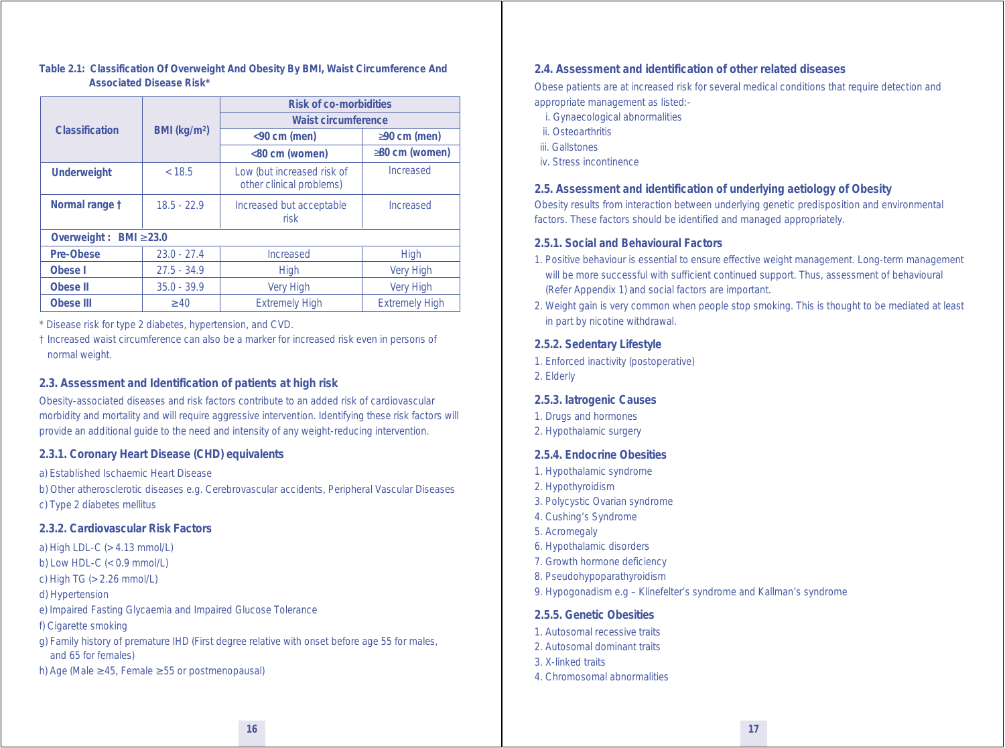#### **Table 2.1: Classification Of Overweight And Obesity By BMI, Waist Circumference And Associated Disease Risk\***

|                              |                          | <b>Risk of co-morbidities</b>                          |                       |
|------------------------------|--------------------------|--------------------------------------------------------|-----------------------|
|                              |                          | <b>Waist circumference</b>                             |                       |
| Classification               | BMI (kg/m <sup>2</sup> ) | $<$ 90 cm (men)                                        | $\geq$ 90 cm (men)    |
|                              |                          | <80 cm (women)                                         | $\geq$ 80 cm (women)  |
| <b>Underweight</b>           | < 18.5                   | Low (but increased risk of<br>other clinical problems) | Increased             |
| Normal range t               | $18.5 - 22.9$            | Increased but acceptable<br>risk                       | Increased             |
| Overweight : BMI $\geq$ 23.0 |                          |                                                        |                       |
| Pre-Obese                    | $23.0 - 27.4$            | Increased                                              | <b>High</b>           |
| Obese I                      | $27.5 - 34.9$            | <b>High</b>                                            | <b>Very High</b>      |
| Obese II                     | $35.0 - 39.9$            | <b>Very High</b>                                       | <b>Very High</b>      |
| Obese III                    | $\geq 40$                | <b>Extremely High</b>                                  | <b>Extremely High</b> |

\* Disease risk for type 2 diabetes, hypertension, and CVD.

† Increased waist circumference can also be a marker for increased risk even in persons of normal weight.

#### **2.3. Assessment and Identification of patients at high risk**

Obesity-associated diseases and risk factors contribute to an added risk of cardiovascular morbidity and mortality and will require aggressive intervention. Identifying these risk factors will provide an additional guide to the need and intensity of any weight-reducing intervention.

#### *2.3.1. Coronary Heart Disease (CHD) equivalents*

a) Established Ischaemic Heart Disease

b) Other atherosclerotic diseases e.g. Cerebrovascular accidents, Peripheral Vascular Diseases c) Type 2 diabetes mellitus

#### *2.3.2. Cardiovascular Risk Factors*

a) High LDL-C (> 4.13 mmol/L) b) Low HDL-C (< 0.9 mmol/L) c) High TG (> 2.26 mmol/L) d) Hypertension e) Impaired Fasting Glycaemia and Impaired Glucose Tolerance f) Cigarette smoking

g) Family history of premature IHD (First degree relative with onset before age 55 for males, and 65 for females)

h) Age (Male  $\geq$  45, Female  $\geq$  55 or postmenopausal)

#### **2.4. Assessment and identification of other related diseases**

Obese patients are at increased risk for several medical conditions that require detection and appropriate management as listed:-

- i. Gynaecological abnormalities
- ii. Osteoarthritis
- iii. Gallstones
- iv. Stress incontinence

#### **2.5. Assessment and identification of underlying aetiology of Obesity**

Obesity results from interaction between underlying genetic predisposition and environmental factors. These factors should be identified and managed appropriately.

#### *2.5.1. Social and Behavioural Factors*

- 1. Positive behaviour is essential to ensure effective weight management. Long-term management will be more successful with sufficient continued support. Thus, assessment of behavioural (Refer Appendix 1) and social factors are important.
- 2. Weight gain is very common when people stop smoking. This is thought to be mediated at least in part by nicotine withdrawal.

#### *2.5.2. Sedentary Lifestyle*

- 1. Enforced inactivity (postoperative)
- 2. Elderly

#### *2.5.3. Iatrogenic Causes*

- 1. Drugs and hormones
- 2. Hypothalamic surgery

#### *2.5.4. Endocrine Obesities*

- 1. Hypothalamic syndrome
- 2. Hypothyroidism
- 3. Polycystic Ovarian syndrome
- 4. Cushing's Syndrome
- 5. Acromegaly
- 6. Hypothalamic disorders
- 7. Growth hormone deficiency
- 8. Pseudohypoparathyroidism
- 9. Hypogonadism e.g Klinefelter's syndrome and Kallman's syndrome

#### *2.5.5. Genetic Obesities*

- 1. Autosomal recessive traits
- 2. Autosomal dominant traits
- 3. X-linked traits
- 4. Chromosomal abnormalities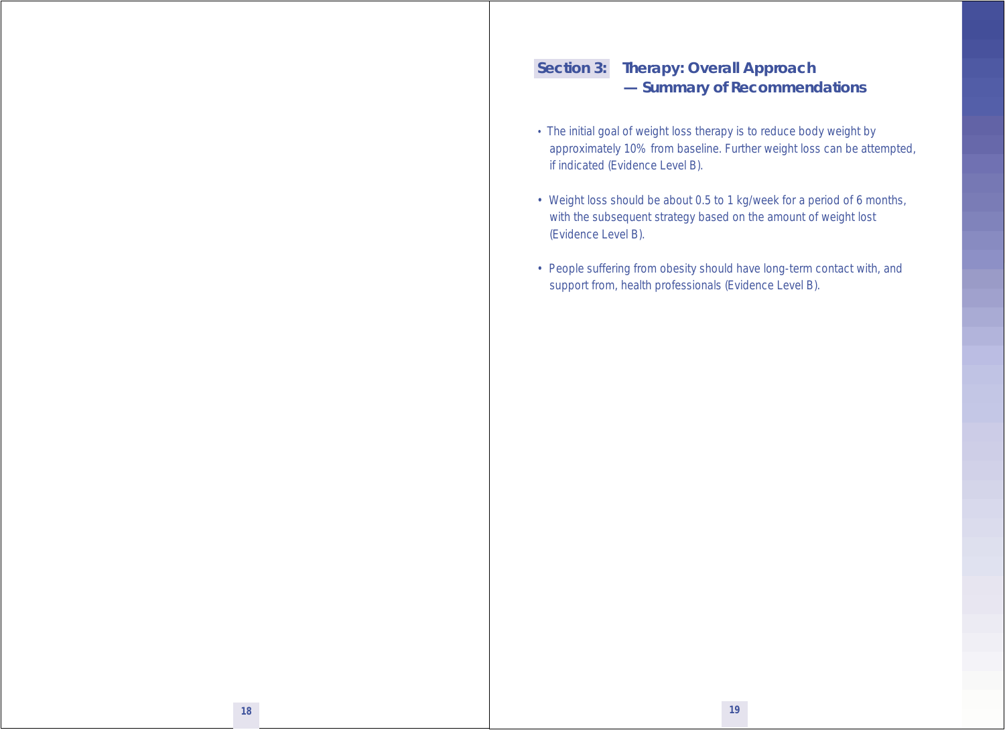# **Section 3: Therapy: Overall Approach — Summary of Recommendations**

- The initial goal of weight loss therapy is to reduce body weight by approximately 10% from baseline. Further weight loss can be attempted, if indicated (Evidence Level B).
- Weight loss should be about 0.5 to 1 kg/week for a period of 6 months, with the subsequent strategy based on the amount of weight lost (Evidence Level B).
- People suffering from obesity should have long-term contact with, and support from, health professionals (Evidence Level B).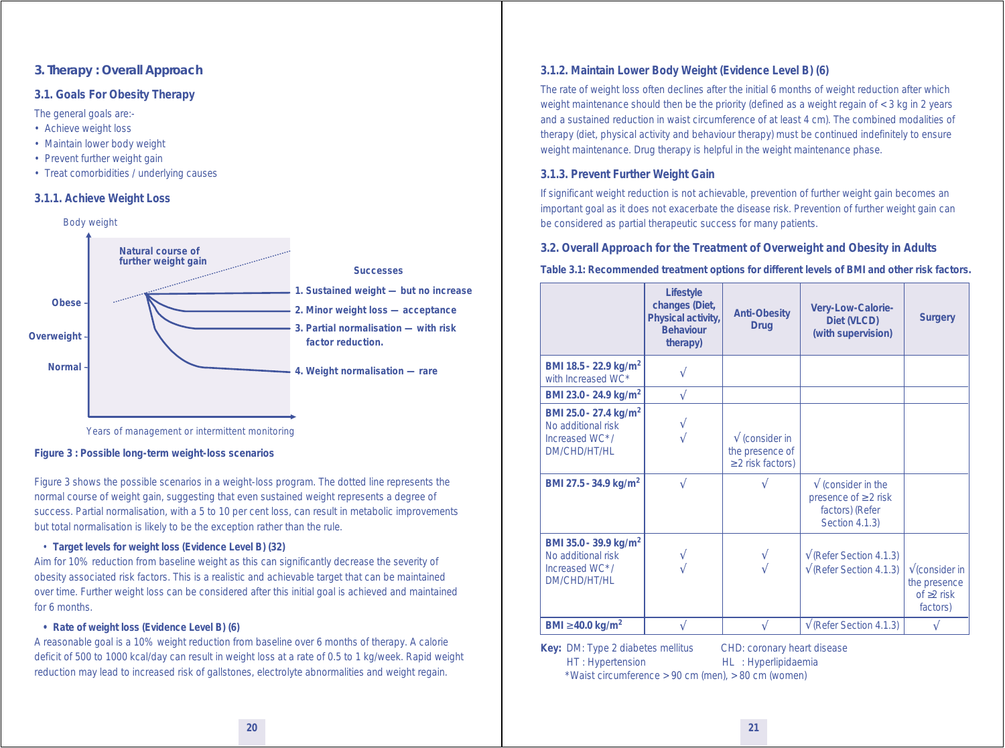#### **3. Therapy : Overall Approach**

#### **3.1. Goals For Obesity Therapy**

The general goals are:-

- Achieve weight loss
- Maintain lower body weight
- Prevent further weight gain
- Treat comorbidities / underlying causes

#### *3.1.1. Achieve Weight Loss*



Years of management or intermittent monitoring

#### **Figure 3 : Possible long-term weight-loss scenarios**

*Figure 3* shows the possible scenarios in a weight-loss program. The dotted line represents the normal course of weight gain, suggesting that even sustained weight represents a degree of success. Partial normalisation, with a 5 to 10 per cent loss, can result in metabolic improvements but total normalisation is likely to be the exception rather than the rule.

#### *• Target levels for weight loss (Evidence Level B) (32)*

Aim for 10% reduction from baseline weight as this can significantly decrease the severity of obesity associated risk factors. This is a realistic and achievable target that can be maintained over time. Further weight loss can be considered after this initial goal is achieved and maintained for 6 months.

#### *• Rate of weight loss (Evidence Level B) (6)*

A reasonable goal is a 10% weight reduction from baseline over 6 months of therapy. A calorie deficit of 500 to 1000 kcal/day can result in weight loss at a rate of 0.5 to 1 kg/week. Rapid weight reduction may lead to increased risk of gallstones, electrolyte abnormalities and weight regain.

#### *3.1.2. Maintain Lower Body Weight (Evidence Level B) (6)*

The rate of weight loss often declines after the initial 6 months of weight reduction after which weight maintenance should then be the priority (defined as a weight regain of < 3 kg in 2 years and a sustained reduction in waist circumference of at least 4 cm). The combined modalities of therapy (diet, physical activity and behaviour therapy) must be continued indefinitely to ensure weight maintenance. Drug therapy is helpful in the weight maintenance phase.

#### *3.1.3. Prevent Further Weight Gain*

If significant weight reduction is not achievable, prevention of further weight gain becomes an important goal as it does not exacerbate the disease risk. Prevention of further weight gain can be considered as partial therapeutic success for many patients.

#### **3.2. Overall Approach for the Treatment of Overweight and Obesity in Adults**

**Table 3.1: Recommended treatment options for different levels of BMI and other risk factors.**

|                                                                                                  | Lifestyle<br>changes (Diet,<br>Physical activity,<br><b>Behaviour</b><br>therapy) | <b>Anti-Obesity</b><br><b>Drug</b>                                  | Very-Low-Calorie-<br>Diet (VLCD)<br>(with supervision)                                       | <b>Surgery</b>                                                                    |
|--------------------------------------------------------------------------------------------------|-----------------------------------------------------------------------------------|---------------------------------------------------------------------|----------------------------------------------------------------------------------------------|-----------------------------------------------------------------------------------|
| BMI 18.5 - 22.9 kg/m <sup>2</sup><br>with Increased WC*                                          |                                                                                   |                                                                     |                                                                                              |                                                                                   |
| BMI 23.0 - 24.9 kg/m <sup>2</sup>                                                                |                                                                                   |                                                                     |                                                                                              |                                                                                   |
| BMI 25.0 - 27.4 kg/m <sup>2</sup><br>No additional risk<br>Increased WC*/<br><b>DM/CHD/HT/HL</b> |                                                                                   | $\sqrt{}$ (consider in<br>the presence of<br>$\geq$ 2 risk factors) |                                                                                              |                                                                                   |
| BMI 27.5 - 34.9 kg/m <sup>2</sup>                                                                |                                                                                   |                                                                     | $\sqrt{}$ (consider in the<br>presence of $\geq$ 2 risk<br>factors) (Refer<br>Section 4.1.3) |                                                                                   |
| BMI 35.0 - 39.9 kg/m <sup>2</sup><br>No additional risk<br>Increased WC*/<br>DM/CHD/HT/HL        |                                                                                   |                                                                     | $\sqrt{\text{(Refer Section 4.1.3)}}$<br>$\sqrt{\text{(Refer Section 4.1.3)}}$               | $\sqrt{\frac{1}{2}}$ (consider in<br>the presence<br>of $\geq$ 2 risk<br>factors) |
| BMI $\geq$ 40.0 kg/m <sup>2</sup>                                                                |                                                                                   |                                                                     | $\sqrt{(Refer Section 4.1.3)}$                                                               |                                                                                   |

**Key:** DM: Type 2 diabetes mellitus CHD: coronary heart disease HT : Hypertension HL : Hyperlipidaemia

\* Waist circumference > 90 cm (men), > 80 cm (women)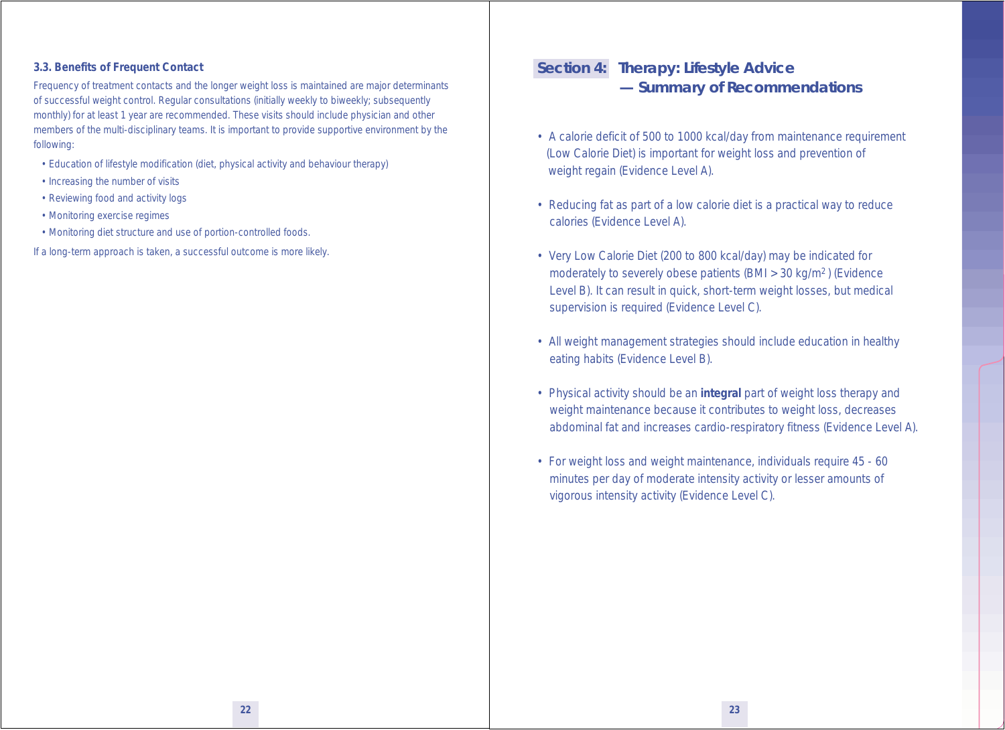#### **3.3. Benefits of Frequent Contact**

Frequency of treatment contacts and the longer weight loss is maintained are major determinants of successful weight control. Regular consultations (initially weekly to biweekly; subsequently monthly) for at least 1 year are recommended. These visits should include physician and other members of the multi-disciplinary teams. It is important to provide supportive environment by the following:

- Education of lifestyle modification (diet, physical activity and behaviour therapy)
- Increasing the number of visits
- Reviewing food and activity logs
- Monitoring exercise regimes
- Monitoring diet structure and use of portion-controlled foods.
- If a long-term approach is taken, a successful outcome is more likely.

# **Section 4: Therapy: Lifestyle Advice — Summary of Recommendations**

- A calorie deficit of 500 to 1000 kcal/day from maintenance requirement (Low Calorie Diet) is important for weight loss and prevention of weight regain (Evidence Level A).
- Reducing fat as part of a low calorie diet is a practical way to reduce calories (Evidence Level A).
- Very Low Calorie Diet (200 to 800 kcal/day) may be indicated for moderately to severely obese patients (BMI > 30 kg/m2 ) (Evidence Level B). It can result in quick, short-term weight losses, but medical supervision is required (Evidence Level C).
- All weight management strategies should include education in healthy eating habits (Evidence Level B).
- Physical activity should be an **integral** part of weight loss therapy and weight maintenance because it contributes to weight loss, decreases abdominal fat and increases cardio-respiratory fitness (Evidence Level A).
- For weight loss and weight maintenance, individuals require 45 60 minutes per day of moderate intensity activity or lesser amounts of vigorous intensity activity (Evidence Level C).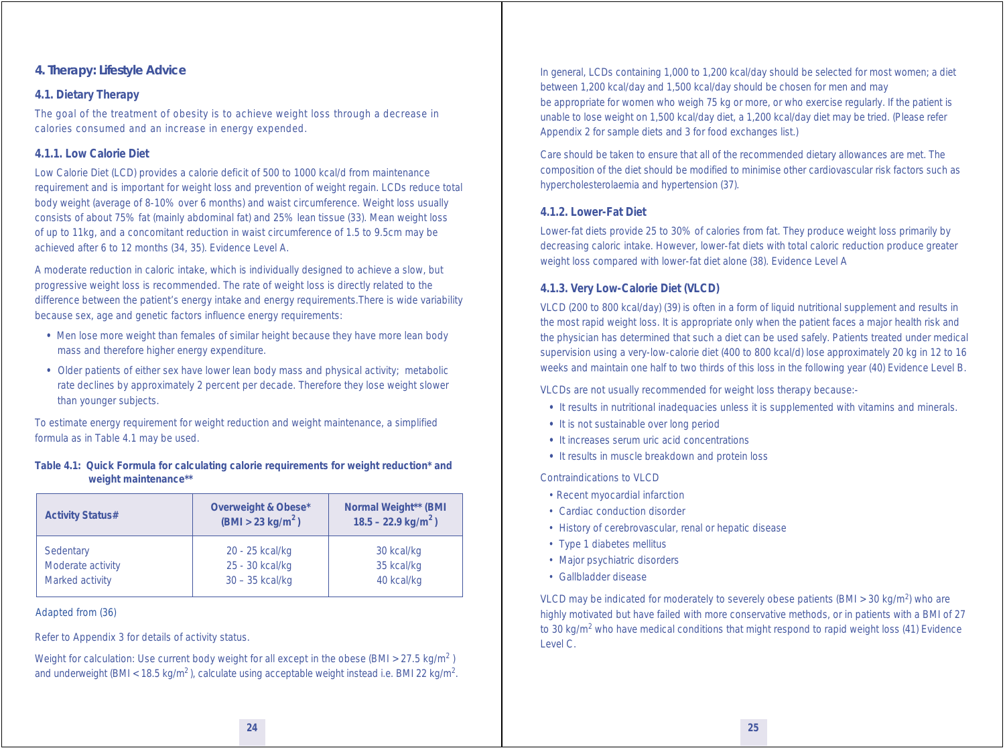#### **4. Therapy: Lifestyle Advice**

#### **4.1. Dietary Therapy**

The goal of the treatment of obesity is to achieve weight loss through a decrease in calories consumed and an increase in energy expended.

#### *4.1.1. Low Calorie Diet*

Low Calorie Diet (LCD) provides a calorie deficit of 500 to 1000 kcal/d from maintenance requirement and is important for weight loss and prevention of weight regain. LCDs reduce total body weight (average of 8-10% over 6 months) and waist circumference. Weight loss usually consists of about 75% fat (mainly abdominal fat) and 25% lean tissue (33). Mean weight loss of up to 11kg, and a concomitant reduction in waist circumference of 1.5 to 9.5cm may be achieved after 6 to 12 months (34, 35). Evidence Level A.

A moderate reduction in caloric intake, which is individually designed to achieve a slow, but progressive weight loss is recommended. The rate of weight loss is directly related to the difference between the patient's energy intake and energy requirements.There is wide variability because sex, age and genetic factors influence energy requirements:

- Men lose more weight than females of similar height because they have more lean body mass and therefore higher energy expenditure.
- Older patients of either sex have lower lean body mass and physical activity; metabolic rate declines by approximately 2 percent per decade. Therefore they lose weight slower than younger subjects.

To estimate energy requirement for weight reduction and weight maintenance, a simplified formula as in Table 4.1 may be used.

#### **Table 4.1: Quick Formula for calculating calorie requirements for weight reduction\* and weight maintenance\*\***

| <b>Activity Status#</b> | Overweight & Obese*<br>(BMI > 23 kg/m <sup>2</sup> ) | Normal Weight** (BMI<br>$18.5 - 22.9$ kg/m <sup>2</sup> ) |
|-------------------------|------------------------------------------------------|-----------------------------------------------------------|
| Sedentary               | 20 - 25 kcal/kg                                      | 30 kcal/kg                                                |
| Moderate activity       | 25 - 30 kcal/kg                                      | 35 kcal/kg                                                |
| Marked activity         | 30 - 35 kcal/kg                                      | 40 kcal/kg                                                |

#### Adapted from (36)

Refer to Appendix 3 for details of activity status.

Weight for calculation: Use current body weight for all except in the obese (BMI > 27.5 kg/m<sup>2</sup>) and underweight (BMI <  $18.5 \text{ kg/m}^2$ ), calculate using acceptable weight instead i.e. BMI 22 kg/m<sup>2</sup>. In general, LCDs containing 1,000 to 1,200 kcal/day should be selected for most women; a diet between 1,200 kcal/day and 1,500 kcal/day should be chosen for men and may be appropriate for women who weigh 75 kg or more, or who exercise regularly. If the patient is unable to lose weight on 1,500 kcal/day diet, a 1,200 kcal/day diet may be tried. (Please refer Appendix 2 for sample diets and 3 for food exchanges list.)

Care should be taken to ensure that all of the recommended dietary allowances are met. The composition of the diet should be modified to minimise other cardiovascular risk factors such as hypercholesterolaemia and hypertension (37).

#### *4.1.2. Lower-Fat Diet*

Lower-fat diets provide 25 to 30% of calories from fat. They produce weight loss primarily by decreasing caloric intake. However, lower-fat diets with total caloric reduction produce greater weight loss compared with lower-fat diet alone (38). Evidence Level A

#### *4.1.3. Very Low-Calorie Diet (VLCD)*

VLCD (200 to 800 kcal/day) (39) is often in a form of liquid nutritional supplement and results in the most rapid weight loss. It is appropriate only when the patient faces a major health risk and the physician has determined that such a diet can be used safely. Patients treated under medical supervision using a very-low-calorie diet (400 to 800 kcal/d) lose approximately 20 kg in 12 to 16 weeks and maintain one half to two thirds of this loss in the following year (40) Evidence Level B.

VLCDs are not usually recommended for weight loss therapy because:-

- It results in nutritional inadequacies unless it is supplemented with vitamins and minerals.
- It is not sustainable over long period
- It increases serum uric acid concentrations
- It results in muscle breakdown and protein loss

Contraindications to VLCD

- Recent myocardial infarction
- Cardiac conduction disorder
- History of cerebrovascular, renal or hepatic disease
- Type 1 diabetes mellitus
- Major psychiatric disorders
- Gallbladder disease

VLCD may be indicated for moderately to severely obese patients (BMI > 30 kg/m<sup>2</sup>) who are highly motivated but have failed with more conservative methods, or in patients with a BMI of 27 to 30 kg/m<sup>2</sup> who have medical conditions that might respond to rapid weight loss (41) Evidence Level C.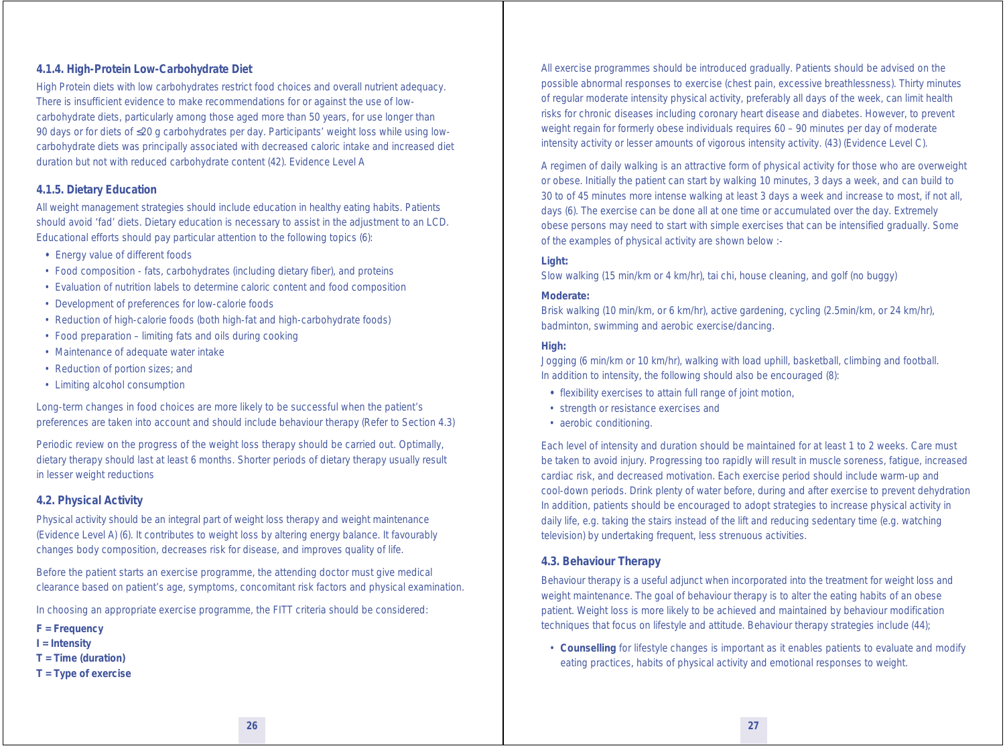#### *4.1.4. High-Protein Low-Carbohydrate Diet*

High Protein diets with low carbohydrates restrict food choices and overall nutrient adequacy. There is insufficient evidence to make recommendations for or against the use of lowcarbohydrate diets, particularly among those aged more than 50 years, for use longer than 90 days or for diets of ≤20 g carbohydrates per day. Participants' weight loss while using lowcarbohydrate diets was principally associated with decreased caloric intake and increased diet duration but not with reduced carbohydrate content (42). Evidence Level A

#### *4.1.5. Dietary Education*

All weight management strategies should include education in healthy eating habits. Patients should avoid 'fad' diets. Dietary education is necessary to assist in the adjustment to an LCD. Educational efforts should pay particular attention to the following topics (6):

- Energy value of different foods
- Food composition fats, carbohydrates (including dietary fiber), and proteins
- Evaluation of nutrition labels to determine caloric content and food composition
- Development of preferences for low-calorie foods
- Reduction of high-calorie foods (both high-fat and high-carbohydrate foods)
- Food preparation limiting fats and oils during cooking
- Maintenance of adequate water intake
- Reduction of portion sizes; and
- Limiting alcohol consumption

Long-term changes in food choices are more likely to be successful when the patient's preferences are taken into account and should include behaviour therapy (Refer to Section 4.3)

Periodic review on the progress of the weight loss therapy should be carried out. Optimally, dietary therapy should last at least 6 months. Shorter periods of dietary therapy usually result in lesser weight reductions

#### **4.2. Physical Activity**

Physical activity should be an integral part of weight loss therapy and weight maintenance (Evidence Level A) (6). It contributes to weight loss by altering energy balance. It favourably changes body composition, decreases risk for disease, and improves quality of life.

Before the patient starts an exercise programme, the attending doctor must give medical clearance based on patient's age, symptoms, concomitant risk factors and physical examination.

In choosing an appropriate exercise programme, the FITT criteria should be considered:

- **F = Frequency**
- **I = Intensity**
- **T = Time (duration)**
- **T = Type of exercise**

All exercise programmes should be introduced gradually. Patients should be advised on the possible abnormal responses to exercise (chest pain, excessive breathlessness). Thirty minutes of regular moderate intensity physical activity, preferably all days of the week, can limit health risks for chronic diseases including coronary heart disease and diabetes. However, to prevent weight regain for formerly obese individuals requires 60 – 90 minutes per day of moderate intensity activity or lesser amounts of vigorous intensity activity. (43) (Evidence Level C).

A regimen of daily walking is an attractive form of physical activity for those who are overweight or obese. Initially the patient can start by walking 10 minutes, 3 days a week, and can build to 30 to of 45 minutes more intense walking at least 3 days a week and increase to most, if not all, days (6). The exercise can be done all at one time or accumulated over the day. Extremely obese persons may need to start with simple exercises that can be intensified gradually. Some of the examples of physical activity are shown below :-

#### **Light:**

Slow walking (15 min/km or 4 km/hr), tai chi, house cleaning, and golf (no buggy)

#### **Moderate:**

Brisk walking (10 min/km, or 6 km/hr), active gardening, cycling (2.5min/km, or 24 km/hr), badminton, swimming and aerobic exercise/dancing.

#### **High:**

Jogging (6 min/km or 10 km/hr), walking with load uphill, basketball, climbing and football. In addition to intensity, the following should also be encouraged (8):

- flexibility exercises to attain full range of joint motion,
- strength or resistance exercises and
- aerobic conditioning.

Each level of intensity and duration should be maintained for at least 1 to 2 weeks. Care must be taken to avoid injury. Progressing too rapidly will result in muscle soreness, fatigue, increased cardiac risk, and decreased motivation. Each exercise period should include warm-up and cool-down periods. Drink plenty of water before, during and after exercise to prevent dehydration In addition, patients should be encouraged to adopt strategies to increase physical activity in daily life, e.g. taking the stairs instead of the lift and reducing sedentary time (e.g. watching television) by undertaking frequent, less strenuous activities.

#### **4.3. Behaviour Therapy**

Behaviour therapy is a useful adjunct when incorporated into the treatment for weight loss and weight maintenance. The goal of behaviour therapy is to alter the eating habits of an obese patient. Weight loss is more likely to be achieved and maintained by behaviour modification techniques that focus on lifestyle and attitude. Behaviour therapy strategies include (44);

 • **Counselling** for lifestyle changes is important as it enables patients to evaluate and modify eating practices, habits of physical activity and emotional responses to weight.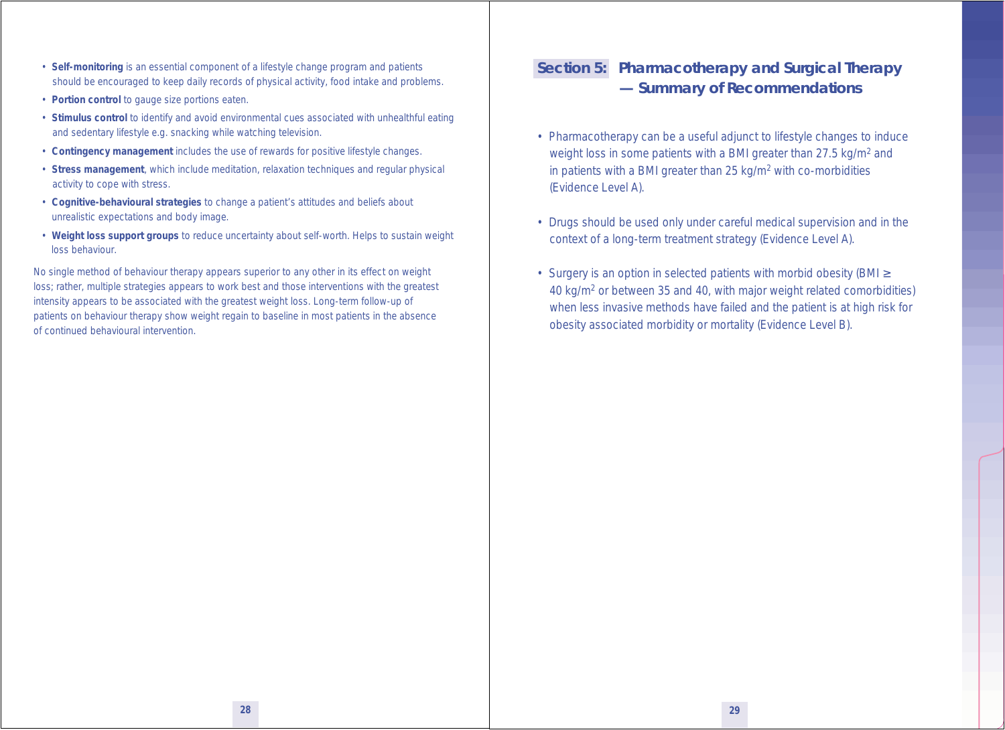- **Self-monitoring** is an essential component of a lifestyle change program and patients should be encouraged to keep daily records of physical activity, food intake and problems.
- **Portion control** to gauge size portions eaten.
- **Stimulus control** to identify and avoid environmental cues associated with unhealthful eating and sedentary lifestyle e.g. snacking while watching television.
- **Contingency management** includes the use of rewards for positive lifestyle changes.
- **Stress management**, which include meditation, relaxation techniques and regular physical activity to cope with stress.
- **Cognitive-behavioural strategies** to change a patient's attitudes and beliefs about unrealistic expectations and body image.
- **Weight loss support groups** to reduce uncertainty about self-worth. Helps to sustain weight loss behaviour.

No single method of behaviour therapy appears superior to any other in its effect on weight loss; rather, multiple strategies appears to work best and those interventions with the greatest intensity appears to be associated with the greatest weight loss. Long-term follow-up of patients on behaviour therapy show weight regain to baseline in most patients in the absence of continued behavioural intervention.

# **Section 5: Pharmacotherapy and Surgical Therapy — Summary of Recommendations**

- Pharmacotherapy can be a useful adjunct to lifestyle changes to induce weight loss in some patients with a BMI greater than 27.5 kg/m<sup>2</sup> and in patients with a BMI greater than 25 kg/m<sup>2</sup> with co-morbidities (Evidence Level A).
- Drugs should be used only under careful medical supervision and in the context of a long-term treatment strategy (Evidence Level A).
- Surgery is an option in selected patients with morbid obesity (BMI ≥ 40 kg/m2 or between 35 and 40, with major weight related comorbidities) when less invasive methods have failed and the patient is at high risk for obesity associated morbidity or mortality (Evidence Level B).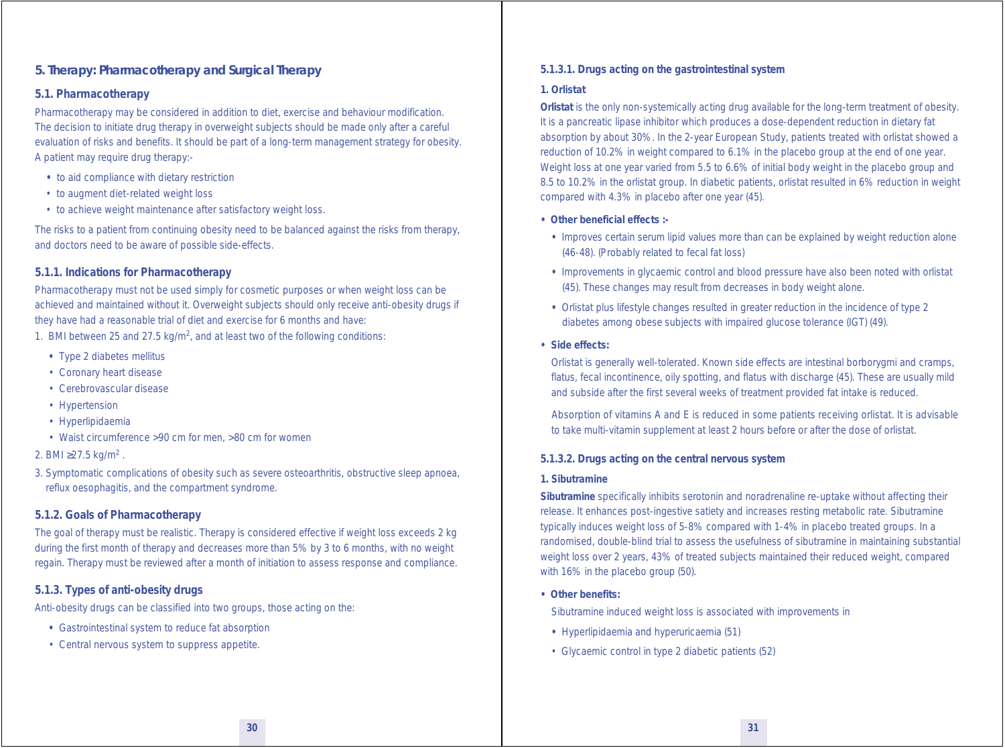#### **5. Therapy: Pharmacotherapy and Surgical Therapy**

#### **5.1. Pharmacotherapy**

Pharmacotherapy may be considered in addition to diet, exercise and behaviour modification. The decision to initiate drug therapy in overweight subjects should be made only after a careful evaluation of risks and benefits. It should be part of a long-term management strategy for obesity. A patient may require drug therapy:-

- to aid compliance with dietary restriction
- to augment diet-related weight loss
- to achieve weight maintenance after satisfactory weight loss.

The risks to a patient from continuing obesity need to be balanced against the risks from therapy, and doctors need to be aware of possible side-effects.

#### *5.1.1. Indications for Pharmacotherapy*

Pharmacotherapy must not be used simply for cosmetic purposes or when weight loss can be achieved and maintained without it. Overweight subjects should only receive anti-obesity drugs if they have had a reasonable trial of diet and exercise for 6 months and have:

- 1. BMI between 25 and 27.5 kg/m<sup>2</sup>, and at least two of the following conditions:
	- Type 2 diabetes mellitus
	- Coronary heart disease
	- Cerebrovascular disease
	- Hypertension
	- Hyperlipidaemia
	- Waist circumference >90 cm for men, >80 cm for women

#### 2. BMI ≥27.5 kg/m<sup>2</sup>.

3. Symptomatic complications of obesity such as severe osteoarthritis, obstructive sleep apnoea, reflux oesophagitis, and the compartment syndrome.

#### *5.1.2. Goals of Pharmacotherapy*

The goal of therapy must be realistic. Therapy is considered effective if weight loss exceeds 2 kg during the first month of therapy and decreases more than 5% by 3 to 6 months, with no weight regain. Therapy must be reviewed after a month of initiation to assess response and compliance.

#### *5.1.3. Types of anti-obesity drugs*

Anti-obesity drugs can be classified into two groups, those acting on the:

- Gastrointestinal system to reduce fat absorption
- Central nervous system to suppress appetite.

#### *5.1.3.1. Drugs acting on the gastrointestinal system*

#### **1. Orlistat**

*Orlistat* is the only non-systemically acting drug available for the long-term treatment of obesity. It is a pancreatic lipase inhibitor which produces a dose-dependent reduction in dietary fat absorption by about 30%. In the 2-year European Study, patients treated with orlistat showed a reduction of 10.2% in weight compared to 6.1% in the placebo group at the end of one year. Weight loss at one year varied from 5.5 to 6.6% of initial body weight in the placebo group and 8.5 to 10.2% in the orlistat group. In diabetic patients, orlistat resulted in 6% reduction in weight compared with 4.3% in placebo after one year (45).

#### **• Other beneficial effects :-**

- Improves certain serum lipid values more than can be explained by weight reduction alone (46-48). (Probably related to fecal fat loss)
- Improvements in glycaemic control and blood pressure have also been noted with orlistat (45). These changes may result from decreases in body weight alone.
- Orlistat plus lifestyle changes resulted in greater reduction in the incidence of type 2 diabetes among obese subjects with impaired glucose tolerance (IGT) (49).

#### *•* **Side effects:**

 Orlistat is generally well-tolerated. Known side effects are intestinal borborygmi and cramps, flatus, fecal incontinence, oily spotting, and flatus with discharge (45). These are usually mild and subside after the first several weeks of treatment provided fat intake is reduced.

 Absorption of vitamins A and E is reduced in some patients receiving orlistat. It is advisable to take multi-vitamin supplement at least 2 hours before or after the dose of orlistat.

#### *5.1.3.2. Drugs acting on the central nervous system*

#### **1. Sibutramine**

*Sibutramine* specifically inhibits serotonin and noradrenaline re-uptake without affecting their release. It enhances post-ingestive satiety and increases resting metabolic rate. Sibutramine typically induces weight loss of 5-8% compared with 1-4% in placebo treated groups. In a randomised, double-blind trial to assess the usefulness of sibutramine in maintaining substantial weight loss over 2 years, 43% of treated subjects maintained their reduced weight, compared with 16% in the placebo group (50).

**• Other benefits:**

Sibutramine induced weight loss is associated with improvements in

- Hyperlipidaemia and hyperuricaemia (51)
- Glycaemic control in type 2 diabetic patients (52)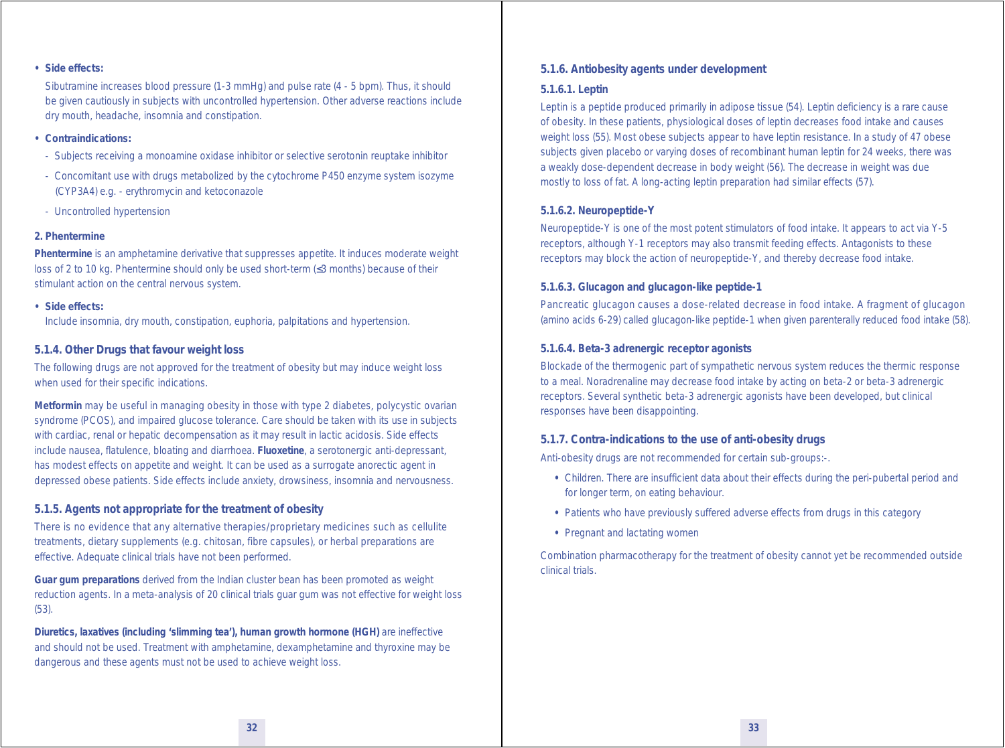#### *•* **Side effects:**

 Sibutramine increases blood pressure (1-3 mmHg) and pulse rate (4 - 5 bpm). Thus, it should be given cautiously in subjects with uncontrolled hypertension. Other adverse reactions include dry mouth, headache, insomnia and constipation.

#### *•* **Contraindications:**

- Subjects receiving a monoamine oxidase inhibitor or selective serotonin reuptake inhibitor
- Concomitant use with drugs metabolized by the cytochrome P450 enzyme system isozyme (CYP3A4) e.g. - erythromycin and ketoconazole
- Uncontrolled hypertension

#### **2. Phentermine**

*Phentermine* is an amphetamine derivative that suppresses appetite. It induces moderate weight loss of 2 to 10 kg. Phentermine should only be used short-term (≤3 months) because of their stimulant action on the central nervous system.

#### *•* **Side effects:**

Include insomnia, dry mouth, constipation, euphoria, palpitations and hypertension.

#### *5.1.4. Other Drugs that favour weight loss*

The following drugs are not approved for the treatment of obesity but may induce weight loss when used for their specific indications.

*Metformin* may be useful in managing obesity in those with type 2 diabetes, polycystic ovarian syndrome (PCOS), and impaired glucose tolerance. Care should be taken with its use in subjects with cardiac, renal or hepatic decompensation as it may result in lactic acidosis. Side effects include nausea, flatulence, bloating and diarrhoea. *Fluoxetine*, a serotonergic anti-depressant, has modest effects on appetite and weight. It can be used as a surrogate anorectic agent in depressed obese patients. Side effects include anxiety, drowsiness, insomnia and nervousness.

#### *5.1.5. Agents not appropriate for the treatment of obesity*

There is no evidence that any alternative therapies/proprietary medicines such as cellulite treatments, dietary supplements (e.g. chitosan, fibre capsules), or herbal preparations are effective. Adequate clinical trials have not been performed.

*Guar gum preparations* derived from the Indian cluster bean has been promoted as weight reduction agents. In a meta-analysis of 20 clinical trials guar gum was not effective for weight loss (53).

*Diuretics, laxatives (including 'slimming tea'), human growth hormone (HGH)* are ineffective and should not be used. Treatment with amphetamine, dexamphetamine and thyroxine may be dangerous and these agents must not be used to achieve weight loss.

#### *5.1.6. Antiobesity agents under development*

#### *5.1.6.1. Leptin*

Leptin is a peptide produced primarily in adipose tissue (54). Leptin deficiency is a rare cause of obesity. In these patients, physiological doses of leptin decreases food intake and causes weight loss (55). Most obese subjects appear to have leptin resistance. In a study of 47 obese subjects given placebo or varying doses of recombinant human leptin for 24 weeks, there was a weakly dose-dependent decrease in body weight (56). The decrease in weight was due mostly to loss of fat. A long-acting leptin preparation had similar effects (57).

#### *5.1.6.2. Neuropeptide-Y*

Neuropeptide-Y is one of the most potent stimulators of food intake. It appears to act via Y-5 receptors, although Y-1 receptors may also transmit feeding effects. Antagonists to these receptors may block the action of neuropeptide-Y, and thereby decrease food intake.

#### *5.1.6.3. Glucagon and glucagon-like peptide-1*

Pancreatic glucagon causes a dose-related decrease in food intake. A fragment of glucagon (amino acids 6-29) called glucagon-like peptide-1 when given parenterally reduced food intake (58).

#### *5.1.6.4. Beta-3 adrenergic receptor agonists*

Blockade of the thermogenic part of sympathetic nervous system reduces the thermic response to a meal. Noradrenaline may decrease food intake by acting on beta-2 or beta-3 adrenergic receptors. Several synthetic beta-3 adrenergic agonists have been developed, but clinical responses have been disappointing.

#### *5.1.7. Contra-indications to the use of anti-obesity drugs*

Anti-obesity drugs are not recommended for certain sub-groups:-.

- Children. There are insufficient data about their effects during the peri-pubertal period and for longer term, on eating behaviour.
- Patients who have previously suffered adverse effects from drugs in this category
- Pregnant and lactating women

Combination pharmacotherapy for the treatment of obesity cannot yet be recommended outside clinical trials.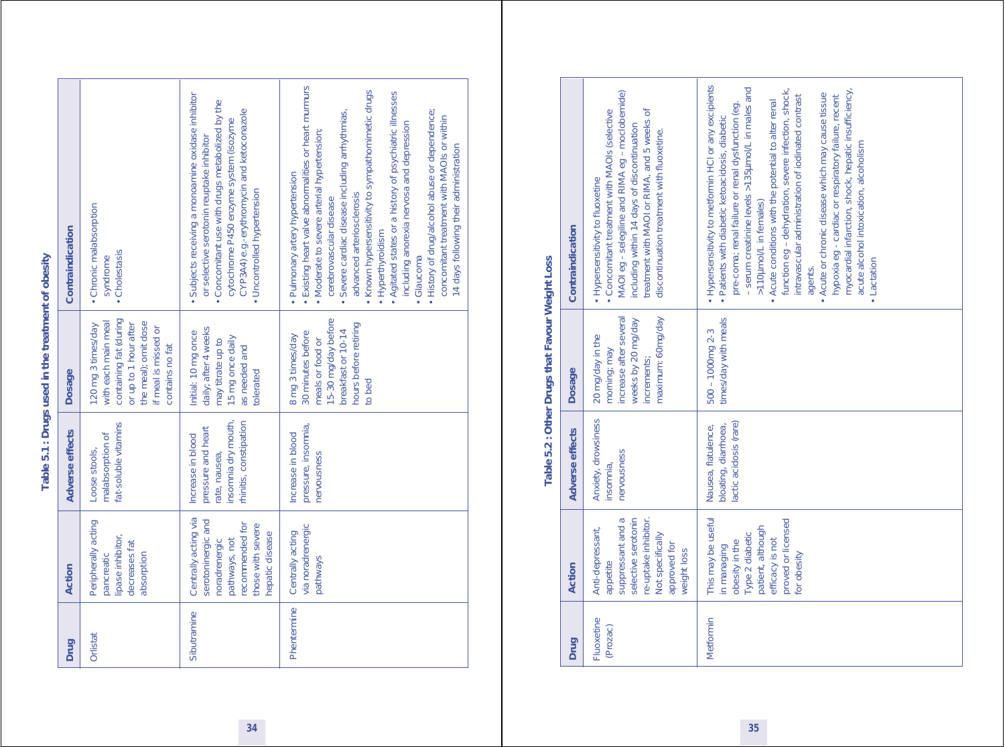# Table 5.1 : Drugs used in the treatment of obesity **Table 5.1 : Drugs used in the treatment of obesity**

| Contraindication | • Chronic malabsorption<br>• Cholestasis<br>syndrome                                                                                                            | · Subjects receiving a monoamine oxidase inhibitor<br>• Concomitant use with drugs metabolized by the<br>CYP3A4) e.g.-erythromycin and ketoconazole<br>cytochrome P450 enzyme system (isozyme<br>or selective serotonin reuptake inhibitor<br>• Uncontrolled hypertension | • Existing heart valve abnormalities or heart murmurs<br>Known hypersensitivity to sympathomimetic drugs<br>• Agitated states or a history of psychiatric illnesses<br>· Severe cardiac disease including arrhythmias,<br>• History of drug/alcohol abuse or dependence;<br>concomitant treatment with MAOIs or within<br>including anorexia nervosa and depression<br>• Moderate to severe arterial hypertension;<br>14 days following their administration<br>• Pulmonary artery hypertension<br>advanced arteriosclerosis<br>cerebrovascular disease<br>• Hyperthyroidism<br>Glaucoma |
|------------------|-----------------------------------------------------------------------------------------------------------------------------------------------------------------|---------------------------------------------------------------------------------------------------------------------------------------------------------------------------------------------------------------------------------------------------------------------------|------------------------------------------------------------------------------------------------------------------------------------------------------------------------------------------------------------------------------------------------------------------------------------------------------------------------------------------------------------------------------------------------------------------------------------------------------------------------------------------------------------------------------------------------------------------------------------------|
| Dosage           | containing fat (during<br>with each main meal<br>the meal); omit dose<br>120 mg 3 times/day<br>or up to 1 hour after<br>if meal is missed or<br>contains no fat | daily; after 4 weeks<br>Initial: 10 mg once<br>15 mg once daily<br>may titrate up to<br>as needed and<br>tolerated                                                                                                                                                        | 5-30 mg/day before<br>hours before retiring<br>breakfast or 10-14<br>30 minutes before<br>8 mg 3 times/day<br>meals or food or<br>to bed                                                                                                                                                                                                                                                                                                                                                                                                                                                 |
| Adverse effects  | at-soluble vitamins<br>malabsorption of<br>Loose stools,                                                                                                        | nsomnia dry mouth,<br>rhinitis, constipation<br>pressure and heart<br>Increase in blood<br>rate, nausea,                                                                                                                                                                  | pressure, insomnia,<br>Increase in blood<br>rervousness                                                                                                                                                                                                                                                                                                                                                                                                                                                                                                                                  |
| Action           | Peripherally acting<br>lipase inhibitor,<br>decreases fat<br>pancreatic<br>absorption                                                                           | Centrally acting via<br>serotoninergic and<br>recommended for<br>those with severe<br>nepatic disease<br>pathways, not<br>noradrenergic                                                                                                                                   | via noradrenergic<br>Centrally acting<br>pathways                                                                                                                                                                                                                                                                                                                                                                                                                                                                                                                                        |
| Drug             | Orlistat                                                                                                                                                        | Sibutramine                                                                                                                                                                                                                                                               | Phentermine                                                                                                                                                                                                                                                                                                                                                                                                                                                                                                                                                                              |

# **Table 5.2 : Other Drugs that Favour Weight Loss Wainht I** ne Ĥ ÷. £  $\subset$ Table 5.2 . Oth

|                                                                                                      | Contraindication | MAOI eg - selegiline and RIMA eg - moclobemide)<br>Concomitant treatment with MAOIs (selective<br>treatment with MAOI or RIMA, and 5 weeks of<br>including within 14 days of discontinuation<br>discontinuation treatment with fluoxetine.<br>• Hypersensitivity to fluoxetine | . Hypersensitivity to metformin HCl or any excipients<br>- serum creatinine levels >135µmol/L in males and<br>myocardial infarction, shock, hepatic insufficiency,<br>function eg - dehydration, severe infection, shock,<br>Acute or chronic disease which may cause tissue<br>intravascular administration of iodinated contrast<br>hypoxia eg - cardiac or respiratory failure, recent<br>Acute conditions with the potential to alter renal<br>pre-coma; renal failure or renal dysfunction (eg.<br>Patients with diabetic ketoacidosis, diabetic<br>acute alcohol intoxication, alcoholism<br>>110µmol/L in females)<br>• Lactation<br>agents. |
|------------------------------------------------------------------------------------------------------|------------------|--------------------------------------------------------------------------------------------------------------------------------------------------------------------------------------------------------------------------------------------------------------------------------|-----------------------------------------------------------------------------------------------------------------------------------------------------------------------------------------------------------------------------------------------------------------------------------------------------------------------------------------------------------------------------------------------------------------------------------------------------------------------------------------------------------------------------------------------------------------------------------------------------------------------------------------------------|
| kapie bis in dan India kapie in dan India kapie in dan India kapie in dan India kapie in dan India k | <b>Dosage</b>    | maximum: 60mg/day<br>increase after several<br>weeks by 20 mg/day<br>20 mg/day in the<br>morning; may<br>increments;                                                                                                                                                           | times/day with meals<br>$500 - 1000$ mg $2 - 3$                                                                                                                                                                                                                                                                                                                                                                                                                                                                                                                                                                                                     |
|                                                                                                      | Adverse effects  | Anxiety, drowsiness<br>nervousness<br>insomnia,                                                                                                                                                                                                                                | lactic acidosis (rare)<br>bloating, diarrhoea,<br>Nausea, flatulence,                                                                                                                                                                                                                                                                                                                                                                                                                                                                                                                                                                               |
|                                                                                                      | Action           | suppressant and a<br>selective serotonin<br>re-uptake inhibitor.<br>Anti-depressant,<br>Not specifically<br>approved for<br>weight loss<br>appetite                                                                                                                            | This may be useful<br>proved or licensed<br>patient, although<br>Type 2 diabetic<br>efficacy is not<br>obesity in the<br>in managing<br>for obesity                                                                                                                                                                                                                                                                                                                                                                                                                                                                                                 |
|                                                                                                      | Drug             | Fluoxetine<br>(Prozac)                                                                                                                                                                                                                                                         | Metformin                                                                                                                                                                                                                                                                                                                                                                                                                                                                                                                                                                                                                                           |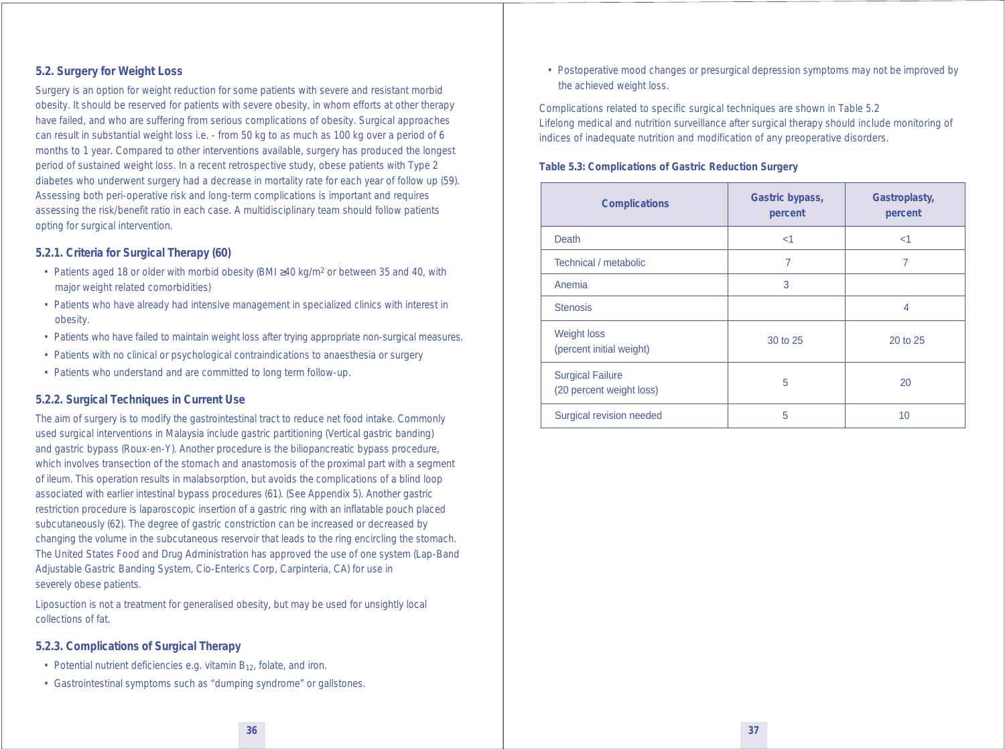#### **5.2. Surgery for Weight Loss**

Surgery is an option for weight reduction for some patients with severe and resistant morbid obesity. It should be reserved for patients with severe obesity, in whom efforts at other therapy have failed, and who are suffering from serious complications of obesity. Surgical approaches can result in substantial weight loss i.e. - from 50 kg to as much as 100 kg over a period of 6 months to 1 year. Compared to other interventions available, surgery has produced the longest period of sustained weight loss. In a recent retrospective study, obese patients with Type 2 diabetes who underwent surgery had a decrease in mortality rate for each year of follow up (59). Assessing both peri-operative risk and long-term complications is important and requires assessing the risk/benefit ratio in each case. A multidisciplinary team should follow patients opting for surgical intervention.

#### *5.2.1. Criteria for Surgical Therapy (60)*

- Patients aged 18 or older with morbid obesity (BMI ≥40 kg/m2 or between 35 and 40, with major weight related comorbidities)
- Patients who have already had intensive management in specialized clinics with interest in obesity.
- Patients who have failed to maintain weight loss after trying appropriate non-surgical measures.
- Patients with no clinical or psychological contraindications to anaesthesia or surgery
- Patients who understand and are committed to long term follow-up.

#### *5.2.2. Surgical Techniques in Current Use*

The aim of surgery is to modify the gastrointestinal tract to reduce net food intake. Commonly used surgical interventions in Malaysia include gastric partitioning (Vertical gastric banding) and gastric bypass (Roux-en-Y). Another procedure is the biliopancreatic bypass procedure, which involves transection of the stomach and anastomosis of the proximal part with a segment of ileum. This operation results in malabsorption, but avoids the complications of a blind loop associated with earlier intestinal bypass procedures (61). (See Appendix 5). Another gastric restriction procedure is laparoscopic insertion of a gastric ring with an inflatable pouch placed subcutaneously (62). The degree of gastric constriction can be increased or decreased by changing the volume in the subcutaneous reservoir that leads to the ring encircling the stomach. The United States Food and Drug Administration has approved the use of one system (Lap-Band Adjustable Gastric Banding System, Cio-Enterics Corp, Carpinteria, CA) for use in severely obese patients.

Liposuction is not a treatment for generalised obesity, but may be used for unsightly local collections of fat.

#### *5.2.3. Complications of Surgical Therapy*

- Potential nutrient deficiencies e.g. vitamin  $B_{12}$ , folate, and iron.
- Gastrointestinal symptoms such as "dumping syndrome" or gallstones.

 • Postoperative mood changes or presurgical depression symptoms may not be improved by the achieved weight loss.

Complications related to specific surgical techniques are shown in Table 5.2 *Lifelong medical and nutrition surveillance after surgical therapy* should include monitoring of indices of inadequate nutrition and modification of any preoperative disorders.

#### **Table 5.3: Complications of Gastric Reduction Surgery**

| <b>Complications</b>                                | Gastric bypass,<br>percent | Gastroplasty,<br>percent |
|-----------------------------------------------------|----------------------------|--------------------------|
| <b>Death</b>                                        | $<$ 1                      | $<$ 1                    |
| Technical / metabolic                               | 7                          | 7                        |
| Anemia                                              | 3                          |                          |
| <b>Stenosis</b>                                     |                            | 4                        |
| <b>Weight loss</b><br>(percent initial weight)      | 30 to 25                   | 20 to 25                 |
| <b>Surgical Failure</b><br>(20 percent weight loss) | 5                          | 20                       |
| Surgical revision needed                            | 5                          | 10                       |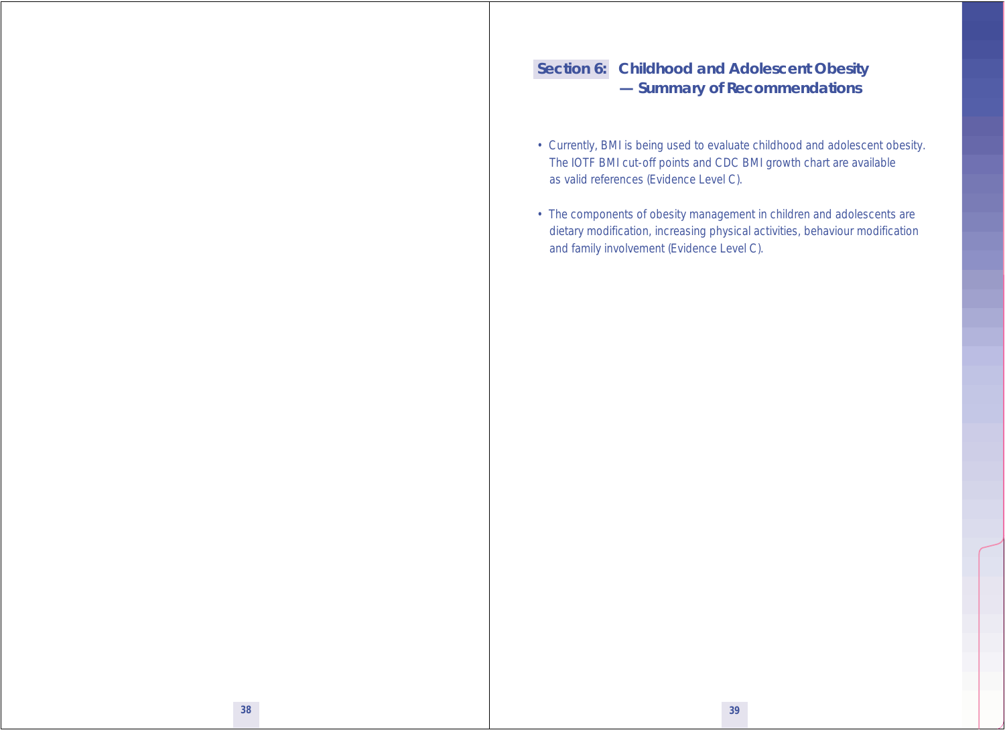# **Section 6: Childhood and Adolescent Obesity — Summary of Recommendations**

- Currently, BMI is being used to evaluate childhood and adolescent obesity. The IOTF BMI cut-off points and CDC BMI growth chart are available as valid references (Evidence Level C).
- The components of obesity management in children and adolescents are dietary modification, increasing physical activities, behaviour modification and family involvement (Evidence Level C).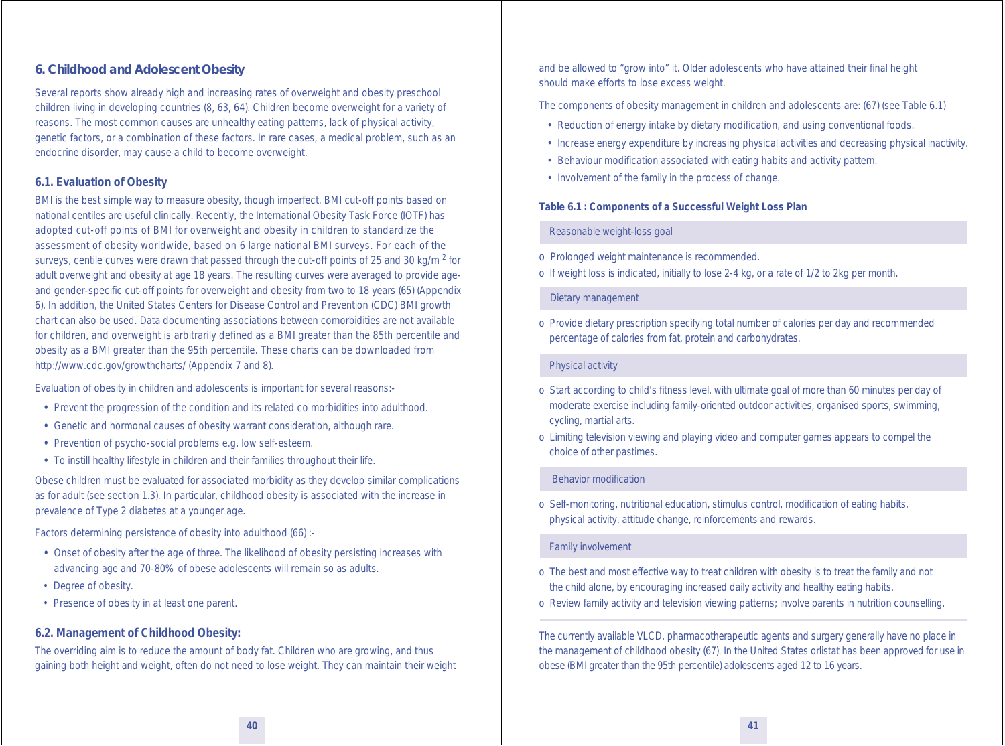#### **6. Childhood and Adolescent Obesity**

Several reports show already high and increasing rates of overweight and obesity preschool children living in developing countries (8, 63, 64). Children become overweight for a variety of reasons. The most common causes are unhealthy eating patterns, lack of physical activity, genetic factors, or a combination of these factors. In rare cases, a medical problem, such as an endocrine disorder, may cause a child to become overweight.

#### **6.1. Evaluation of Obesity**

BMI is the best simple way to measure obesity, though imperfect. BMI cut-off points based on national centiles are useful clinically. Recently, the International Obesity Task Force (IOTF) has adopted cut-off points of BMI for overweight and obesity in children to standardize the assessment of obesity worldwide, based on 6 large national BMI surveys. For each of the surveys, centile curves were drawn that passed through the cut-off points of 25 and 30 kg/m  $^2$  for adult overweight and obesity at age 18 years. The resulting curves were averaged to provide ageand gender-specific cut-off points for overweight and obesity from two to 18 years (65) (Appendix 6). In addition, the United States Centers for Disease Control and Prevention (CDC) BMI growth chart can also be used. Data documenting associations between comorbidities are not available for children, and overweight is arbitrarily defined as a BMI greater than the 85th percentile and obesity as a BMI greater than the 95th percentile. These charts can be downloaded from http://www.cdc.gov/growthcharts/ (Appendix 7 and 8).

Evaluation of obesity in children and adolescents is important for several reasons:-

- Prevent the progression of the condition and its related co morbidities into adulthood.
- Genetic and hormonal causes of obesity warrant consideration, although rare.
- Prevention of psycho-social problems e.g. low self-esteem.
- To instill healthy lifestyle in children and their families throughout their life.

Obese children must be evaluated for associated morbidity as they develop similar complications as for adult (see section 1.3). In particular, childhood obesity is associated with the increase in prevalence of Type 2 diabetes at a younger age.

Factors determining persistence of obesity into adulthood (66) :-

- Onset of obesity after the age of three. The likelihood of obesity persisting increases with advancing age and 70-80% of obese adolescents will remain so as adults.
- Degree of obesity.
- Presence of obesity in at least one parent.

#### **6.2. Management of Childhood Obesity:**

The overriding aim is to reduce the amount of body fat. Children who are growing, and thus gaining both height and weight, often do not need to lose weight. They can maintain their weight and be allowed to "grow into" it. Older adolescents who have attained their final height should make efforts to lose excess weight.

The components of obesity management in children and adolescents are: (67) (see Table 6.1)

- Reduction of energy intake by dietary modification, and using conventional foods.
- Increase energy expenditure by increasing physical activities and decreasing physical inactivity.
- Behaviour modification associated with eating habits and activity pattern.
- Involvement of the family in the process of change.

#### **Table 6.1 : Components of a Successful Weight Loss Plan**

#### Reasonable weight-loss goal

- o Prolonged weight maintenance is recommended.
- o If weight loss is indicated, initially to lose 2-4 kg, or a rate of 1/2 to 2kg per month.

#### Dietary management

o Provide dietary prescription specifying total number of calories per day and recommended percentage of calories from fat, protein and carbohydrates.

#### Physical activity

- o Start according to child's fitness level, with ultimate goal of more than 60 minutes per day of moderate exercise including family-oriented outdoor activities, organised sports, swimming, cycling, martial arts.
- o Limiting television viewing and playing video and computer games appears to compel the choice of other pastimes.

#### Behavior modification

o Self-monitoring, nutritional education, stimulus control, modification of eating habits, physical activity, attitude change, reinforcements and rewards.

#### Family involvement

- o The best and most effective way to treat children with obesity is to treat the family and not the child alone, by encouraging increased daily activity and healthy eating habits.
- o Review family activity and television viewing patterns; involve parents in nutrition counselling.

The currently available VLCD, pharmacotherapeutic agents and surgery generally have no place in the management of childhood obesity (67). In the United States orlistat has been approved for use in obese (BMI greater than the 95th percentile) adolescents aged 12 to 16 years.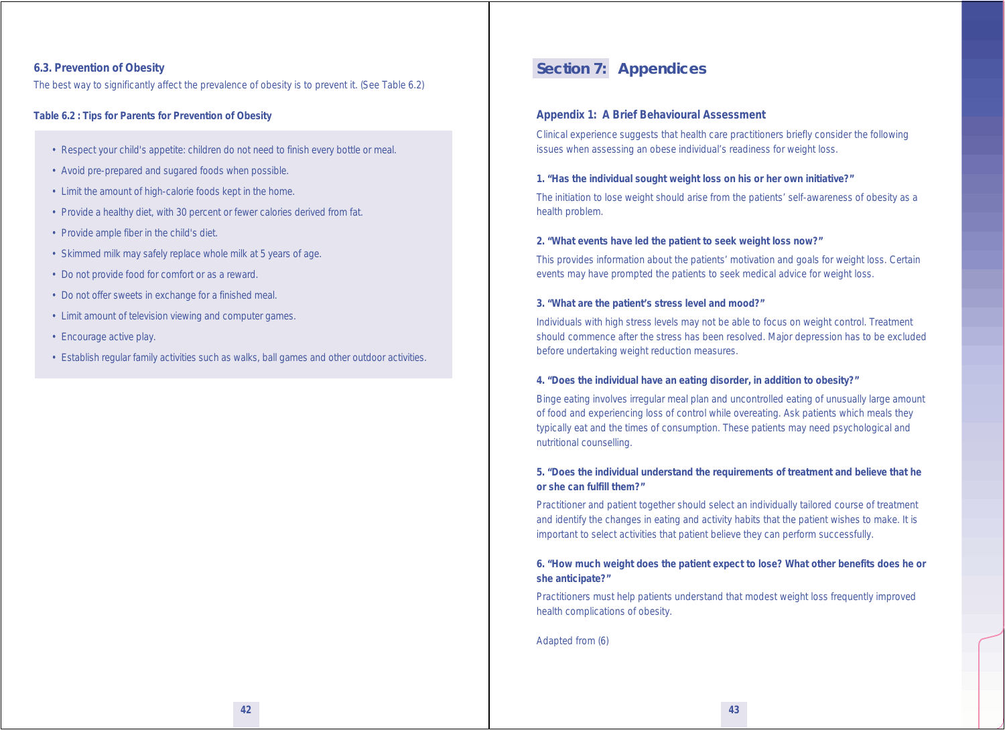#### **6.3. Prevention of Obesity**

The best way to significantly affect the prevalence of obesity is to prevent it. (See Table 6.2)

#### **Table 6.2 : Tips for Parents for Prevention of Obesity**

- Respect your child's appetite: children do not need to finish every bottle or meal.
- Avoid pre-prepared and sugared foods when possible.
- Limit the amount of high-calorie foods kept in the home.
- Provide a healthy diet, with 30 percent or fewer calories derived from fat.
- Provide ample fiber in the child's diet.
- Skimmed milk may safely replace whole milk at 5 years of age.
- Do not provide food for comfort or as a reward.
- Do not offer sweets in exchange for a finished meal.
- Limit amount of television viewing and computer games.
- Encourage active play.
- Establish regular family activities such as walks, ball games and other outdoor activities.

### **Section 7: Appendices**

#### **Appendix 1: A Brief Behavioural Assessment**

Clinical experience suggests that health care practitioners briefly consider the following issues when assessing an obese individual's readiness for weight loss.

#### **1. "Has the individual sought weight loss on his or her own initiative?"**

The initiation to lose weight should arise from the patients' self-awareness of obesity as a health problem.

#### **2. "What events have led the patient to seek weight loss now?"**

This provides information about the patients' motivation and goals for weight loss. Certain events may have prompted the patients to seek medical advice for weight loss.

#### **3. "What are the patient's stress level and mood?"**

Individuals with high stress levels may not be able to focus on weight control. Treatment should commence after the stress has been resolved. Major depression has to be excluded before undertaking weight reduction measures.

#### **4. "Does the individual have an eating disorder, in addition to obesity?"**

Binge eating involves irregular meal plan and uncontrolled eating of unusually large amount of food and experiencing loss of control while overeating. Ask patients which meals they typically eat and the times of consumption. These patients may need psychological and nutritional counselling.

#### **5. "Does the individual understand the requirements of treatment and believe that he or she can fulfill them?"**

Practitioner and patient together should select an individually tailored course of treatment and identify the changes in eating and activity habits that the patient wishes to make. It is important to select activities that patient believe they can perform successfully.

#### **6. "How much weight does the patient expect to lose? What other benefits does he or she anticipate?"**

Practitioners must help patients understand that modest weight loss frequently improved health complications of obesity.

*Adapted from (6)*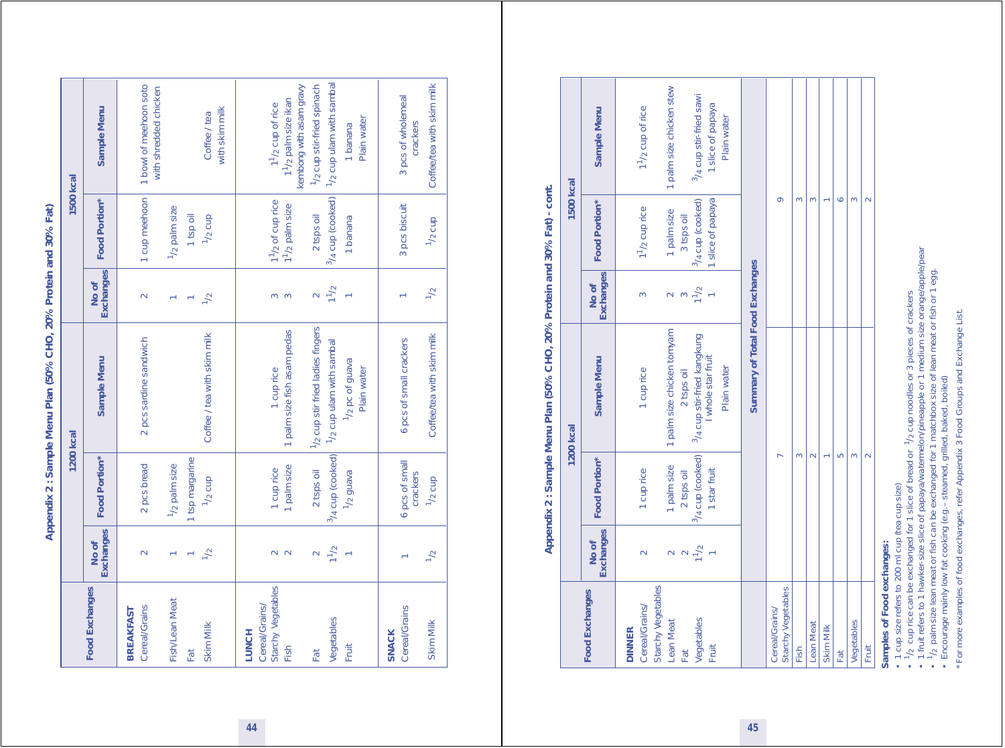Appendix 2 : Sample Menu Plan (50% CHO, 20% Protein and 30% Fat) **Appendix 2 : Sample Menu Plan (50% CHO, 20% Protein and 30% Fat)**

|                                   |                           | <b>1200 kcal</b>           |                                   |                         | <b>1500 kcal</b>          |                                                                         |
|-----------------------------------|---------------------------|----------------------------|-----------------------------------|-------------------------|---------------------------|-------------------------------------------------------------------------|
| <b>Food Exchanges</b>             | <b>Exchanges</b><br>No of | Food Portion*              | Sample Menu                       | Exchanges<br>No of      | Food Portion*             | Sample Menu                                                             |
| Cereal/Grains<br><b>BREAKFAST</b> | $\overline{\mathsf{C}}$   | 2 pcs bread                | 2 pcs sardine sandwich            | $\sim$                  | 1 cup meehoon             | 1 bowl of meehoon soto<br>with shredded chicken                         |
| Fish/Lean Meat                    |                           | 1/ <sub>2</sub> palm size  |                                   |                         | 1/ <sub>2</sub> palm size |                                                                         |
| Fat                               |                           | 1 tsp margarine            |                                   |                         | 1 tsp oil                 |                                                                         |
| Skim Milk                         | $\mathcal{L}_{1}$         | $1/2$ cup                  | Coffee / tea with skim milk       | $\frac{1}{2}$           | $1/2$ cup                 | with skim milk<br>Coffee / tea                                          |
| Cereal/Grains/<br><b>LUNCH</b>    |                           |                            |                                   |                         |                           |                                                                         |
| Starchy Vegetables                | $\sim$                    | 1 cup rice                 | 1 cup rice                        | $\infty$                | $11/2$ of cup rice        | 1 <sup>1</sup> / <sub>2</sub> cup of rice                               |
| Fish                              | $\sim$                    | 1 palm size                | 1 palm size fish asam pedas       | $\infty$                | $11 / 2$ palm size        | kembong with asam gravy<br>1 <sup>1</sup> / <sub>2</sub> palm size ikan |
| Fat                               |                           | 2 tsps oil                 | 1/2 cup stir fried ladies fingers | $\overline{\mathsf{C}}$ | 2 tsps oil                | 1/2 cup stir-fried spinach                                              |
| Vegetables                        | 1 <sup>1</sup>            | 3/4 cup (cooked)           | 1/2 cup ulam with sambal          | 1 <sup>1</sup> / 2      | $3/4$ cup (cooked)        | 1/2 cup ulam with sambal                                                |
| Fruit                             |                           | $1/2$ guava                | $1/2$ pc of guava<br>Plain water  |                         | 1 banana                  | Plain water<br>I banana                                                 |
| <b>SNACK</b>                      |                           |                            |                                   |                         |                           |                                                                         |
| Cereal/Grains                     |                           | 6 pcs of small<br>crackers | 6 pcs of small crackers           |                         | 3 pcs biscuit             | 3 pcs of wholemeal<br>crackers                                          |
| Skim Milk                         | $\frac{1}{2}$             | $1/2$ cup                  | Coffee/tea with skim milk         | $\frac{1}{2}$           | $1/2$ cup                 | Coffee/tea with skim milk                                               |

# Appendix 2: Sample Menu Plan (50% CHO, 20% Protein and 30% Fat) - cont. **Appendix 2 : Sample Menu Plan (50% CHO, 20% Protein and 30% Fat) - cont.**

|                                                       |                    |                                    | 1200 kcal                                                     |                                           | <b>1500 kcal</b>                        |                                              |
|-------------------------------------------------------|--------------------|------------------------------------|---------------------------------------------------------------|-------------------------------------------|-----------------------------------------|----------------------------------------------|
| <b>Food Exchanges</b>                                 | Exchanges<br>No of | Food Portion*                      | Sample Menu                                                   | <b>Exchanges</b><br>No of                 | Food Portion*                           | Sample Menu                                  |
| Starchy Vegetables<br>Cereal/Grains/<br><b>DINNER</b> |                    | 1 cup rice                         | 1 cup rice                                                    | $\infty$                                  | $11 / 2$ cup rice                       | $11/2$ cup of rice                           |
| Lean Meat<br>Fat                                      |                    | 1 palm size<br>2 tsps oil          | 1 palm size chicken tomyam<br>2 tsps oil                      |                                           | 1 palm size<br>3 tsps oil               | 1 palm size chicken stew                     |
| Vegetables<br>Fruit                                   | $2^{1/2}$          | $3/4$ cup (cooked)<br>1 star fruit | <sup>3</sup> /4 cup stir-fried kangkung<br>I whole star fruit | $\frac{3}{1}$ $\frac{2}{1}$ $\frac{1}{2}$ | $3/4$ cup (cooked)<br>1 slice of papaya | 3/4 cup stir-fried sawi<br>1 slice of papaya |
|                                                       |                    |                                    | Plain water                                                   |                                           |                                         | Plain water                                  |
|                                                       |                    |                                    | Summary of Total Food Exchanges                               |                                           |                                         |                                              |
| Starchy Vegetables<br>Cereal/Grains/                  |                    |                                    |                                                               |                                           | õ                                       |                                              |
| Fish                                                  |                    | 3                                  |                                                               |                                           | 3                                       |                                              |
| <b>Lean Meat</b>                                      |                    |                                    |                                                               |                                           | $\infty$                                |                                              |
| Skim Milk                                             |                    |                                    |                                                               |                                           |                                         |                                              |
| Fat                                                   |                    | Ю                                  |                                                               |                                           | Ó                                       |                                              |
| Vegetables                                            |                    | 3                                  |                                                               |                                           | 3                                       |                                              |
| Fruit                                                 |                    | Ċ                                  |                                                               |                                           | $\sim$                                  |                                              |
|                                                       |                    |                                    |                                                               |                                           |                                         |                                              |

**Samples of Food exchanges:**

• 1 cup size refers to 200 ml cup (tea cup size)

**Samples of Food exchanges:**<br>• 1 cup size refers to 200 ml cup (tea cup size)<br>• 1/2 cup rice can be exchanged for 1 slice of bread or <sup>1</sup>/2 cup noodles or 3 pieces of crackers<br>• 1/2 cup rice can be exchanged for 1 slice of  $\cdot$  1/2 cup rice can be exchanged for 1 slice of bread or  $^{-1}$ /2 cup noodles or 3 pieces of crackers

• 1 fruit refers to 1 hawker-size slice of papaya/watermelon/pineapple or 1 medium size orange/apple/pear

 $\cdot$   $^1$ /<sub>2</sub> palm size lean meat or fish can be exchanged for 1 matchbox size of lean meat or fish or 1 egg.

• Encourage mainly low fat cooking (e.g.– steamed, grilled, baked, boiled)

\* For more examples of food exchanges, refer Appendix 3 Food Groups and Exchange List. \* For more examples of food exchanges, refer Appendix 3 Food Groups and Exchange List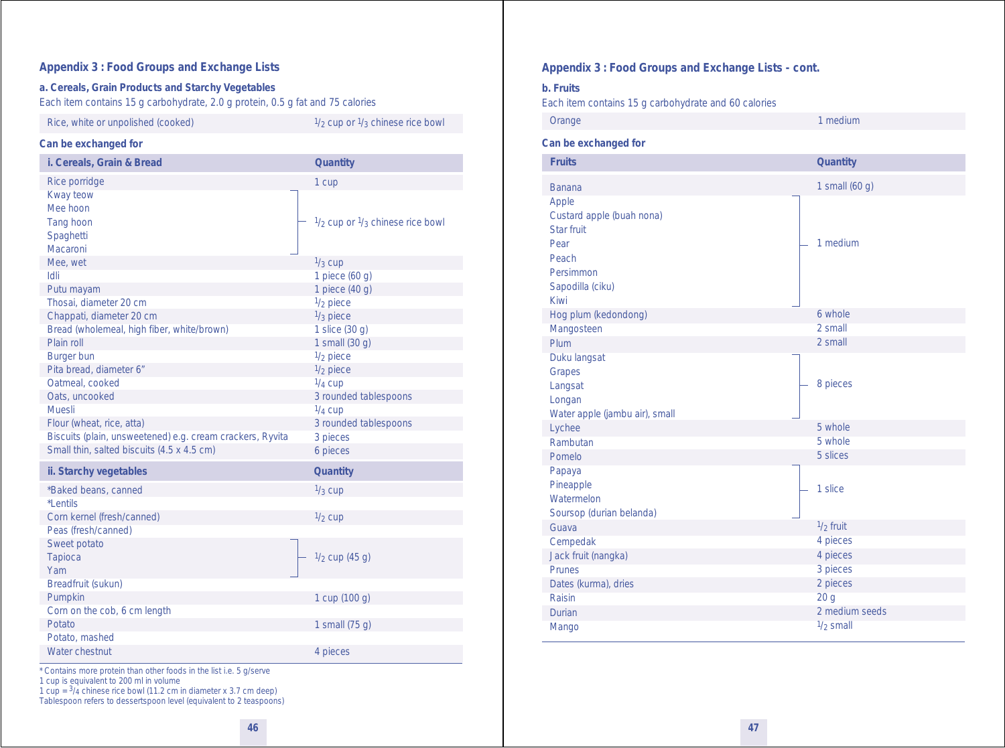#### **Appendix 3 : Food Groups and Exchange Lists**

#### **a. Cereals, Grain Products and Starchy Vegetables**

*Each item contains 15 g carbohydrate, 2.0 g protein, 0.5 g fat and 75 calories*

#### Rice, white or unpolished (cooked)  $\frac{1}{2}$  cup or  $\frac{1}{3}$  chinese rice bowl

#### **Can be exchanged for**

| i. Cereals, Grain & Bread                                   | <b>Quantity</b>                                      |
|-------------------------------------------------------------|------------------------------------------------------|
| Rice porridge                                               | 1 cup                                                |
| Kway teow<br>Mee hoon<br>Tang hoon<br>Spaghetti<br>Macaroni | $\frac{1}{2}$ cup or $\frac{1}{3}$ chinese rice bowl |
| Mee, wet                                                    | $1/3$ cup                                            |
| Idli                                                        | 1 piece (60 g)                                       |
| Putu mayam                                                  | 1 piece (40 g)                                       |
| Thosai, diameter 20 cm                                      | $1/2$ piece                                          |
| Chappati, diameter 20 cm                                    | $1/3$ piece                                          |
| Bread (wholemeal, high fiber, white/brown)                  | 1 slice (30 g)                                       |
| Plain roll                                                  | 1 small (30 g)                                       |
| <b>Burger bun</b>                                           | $1/2$ piece                                          |
| Pita bread, diameter 6"                                     | $1/2$ piece                                          |
| Oatmeal, cooked                                             | $1/4$ cup                                            |
| Oats, uncooked                                              | 3 rounded tablespoons                                |
| <b>Muesli</b>                                               | $\frac{1}{4}$ cup                                    |
| Flour (wheat, rice, atta)                                   | 3 rounded tablespoons                                |
| Biscuits (plain, unsweetened) e.g. cream crackers, Ryvita   | 3 pieces                                             |
| Small thin, salted biscuits (4.5 x 4.5 cm)                  | 6 pieces                                             |
| ii. Starchy vegetables                                      | Quantity                                             |
| *Baked beans, canned                                        | $\frac{1}{3}$ cup                                    |
| *Lentils                                                    |                                                      |
| Corn kernel (fresh/canned)                                  | $1/2$ cup                                            |
| Peas (fresh/canned)                                         |                                                      |
| Sweet potato                                                |                                                      |
| <b>Tapioca</b>                                              | $\frac{1}{2}$ cup (45 g)                             |
| Yam                                                         |                                                      |
| Breadfruit (sukun)                                          |                                                      |
| Pumpkin                                                     | 1 cup (100 g)                                        |
| Corn on the cob, 6 cm length<br>Potato                      | 1 small (75 q)                                       |
| Potato, mashed                                              |                                                      |
| Water chestnut                                              | 4 pieces                                             |
|                                                             |                                                      |

\* Contains more protein than other foods in the list i.e. 5 g/serve

1 cup is equivalent to 200 ml in volume

1 cup =  $\frac{3}{4}$  chinese rice bowl (11.2 cm in diameter x 3.7 cm deep) Tablespoon refers to dessertspoon level (equivalent to 2 teaspoons)

#### **Appendix 3 : Food Groups and Exchange Lists - cont.**

#### **b. Fruits**

*Each item contains 15 g carbohydrate and 60 calories*

Orange 1 medium 1 medium 1 medium 1 medium 1 medium 1 medium 1 medium 1 medium 1 medium 1 medium 1 medium 1 me

#### **Can be exchanged for**

| <b>Fruits</b>                  | Quantity        |
|--------------------------------|-----------------|
| <b>Banana</b>                  | 1 small (60 g)  |
| Apple                          |                 |
| Custard apple (buah nona)      |                 |
| Star fruit                     |                 |
| Pear                           | 1 medium        |
| Peach                          |                 |
| Persimmon                      |                 |
| Sapodilla (ciku)               |                 |
| Kiwi                           |                 |
| Hog plum (kedondong)           | 6 whole         |
| Mangosteen                     | 2 small         |
| Plum                           | 2 small         |
| Duku langsat                   |                 |
| Grapes                         |                 |
| Langsat                        | 8 pieces        |
| Longan                         |                 |
| Water apple (jambu air), small | 5 whole         |
| Lychee                         | 5 whole         |
| Rambutan                       | 5 slices        |
| Pomelo                         |                 |
| Papaya                         |                 |
| Pineapple<br>Watermelon        | 1 slice         |
| Soursop (durian belanda)       |                 |
| Guava                          | $1/2$ fruit     |
| Cempedak                       | 4 pieces        |
| Jack fruit (nangka)            | 4 pieces        |
| <b>Prunes</b>                  | 3 pieces        |
| Dates (kurma), dries           | 2 pieces        |
| Raisin                         | 20 <sub>g</sub> |
| Durian                         | 2 medium seeds  |
| Mango                          | $1/2$ small     |
|                                |                 |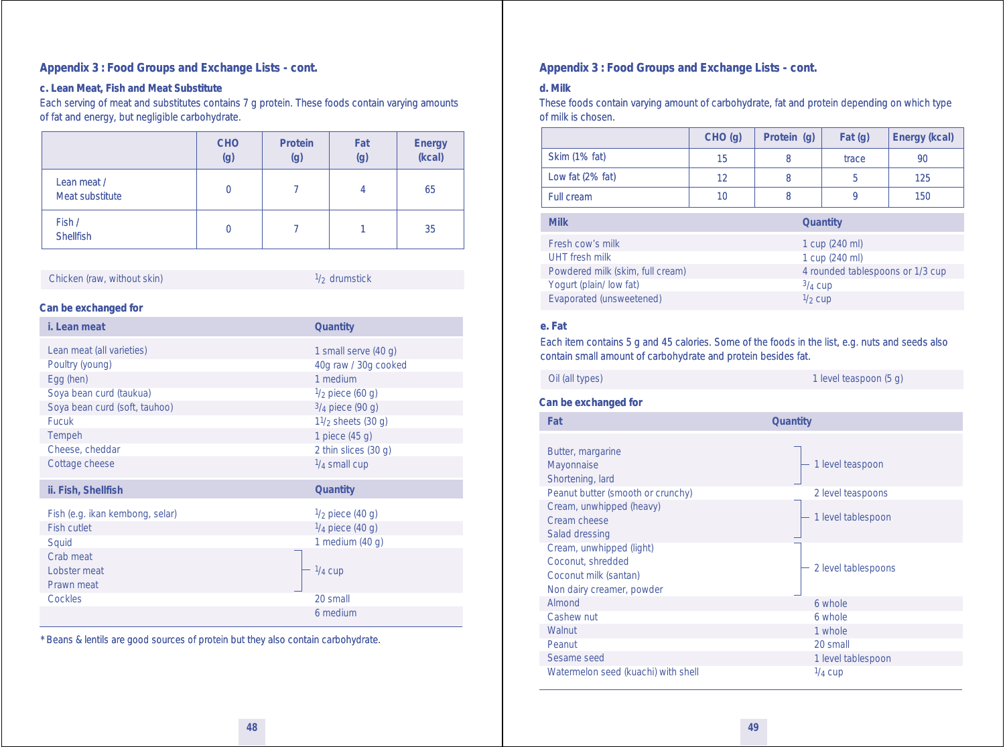#### **Appendix 3 : Food Groups and Exchange Lists - cont.**

#### **c. Lean Meat, Fish and Meat Substitute**

*Each serving of meat and substitutes contains 7 g protein. These foods contain varying amounts of fat and energy, but negligible carbohydrate.*

|                                | <b>CHO</b><br>(g) | Protein<br>(g) | Fat<br>(g) | Energy<br>(kcal) |
|--------------------------------|-------------------|----------------|------------|------------------|
| Lean meat /<br>Meat substitute | $\mathbf{0}$      |                | 4          | 65               |
| Fish /<br><b>Shellfish</b>     | $\theta$          |                |            | 35               |

Chicken (raw, without skin)  $\frac{1}{2}$  drumstick

#### **Can be exchanged for**

| i. Lean meat                                                                                                          | Quantity                                                                                                     |
|-----------------------------------------------------------------------------------------------------------------------|--------------------------------------------------------------------------------------------------------------|
| Lean meat (all varieties)<br>Poultry (young)<br>Egg (hen)<br>Soya bean curd (taukua)<br>Soya bean curd (soft, tauhoo) | 1 small serve (40 q)<br>40g raw / 30g cooked<br>1 medium<br>$\frac{1}{2}$ piece (60 g)<br>$3/4$ piece (90 g) |
| <b>Fucuk</b><br>Tempeh<br>Cheese, cheddar<br>Cottage cheese                                                           | $11/2$ sheets (30 g)<br>1 piece (45 q)<br>2 thin slices (30 q)<br>$\frac{1}{4}$ small cup                    |
| ii. Fish, Shellfish                                                                                                   | Quantity                                                                                                     |
| Fish (e.g. ikan kembong, selar)<br><b>Fish cutlet</b><br>Squid<br>Crab meat<br>Lobster meat<br>Prawn meat             | $\frac{1}{2}$ piece (40 g)<br>$\frac{1}{4}$ piece (40 g)<br>1 medium $(40q)$<br>$\frac{1}{4}$ cup            |
| Cockles                                                                                                               | 20 small<br>6 medium                                                                                         |

\* Beans & lentils are good sources of protein but they also contain carbohydrate.

#### **Appendix 3 : Food Groups and Exchange Lists - cont.**

#### **d. Milk**

*These foods contain varying amount of carbohydrate, fat and protein depending on which type of milk is chosen.*

|                      | CHO(q) | Protein (q) | Fat(q) | Energy (kcal) |
|----------------------|--------|-------------|--------|---------------|
| <b>Skim (1% fat)</b> | 15     |             | trace  | 90            |
| Low fat (2% fat)     | 12     |             |        | 125           |
| Full cream           | 10     |             |        | 150           |

| <b>Milk</b>                      | <b>Quantity</b>                  |
|----------------------------------|----------------------------------|
| Fresh cow's milk                 | 1 cup (240 ml)                   |
| UHT fresh milk                   | 1 cup (240 ml)                   |
| Powdered milk (skim, full cream) | 4 rounded tablespoons or 1/3 cup |
| Yogurt (plain/ low fat)          | $3/4$ Cup                        |
| Evaporated (unsweetened)         | $\frac{1}{2}$ cup                |

#### **e. Fat**

*Each item contains 5 g and 45 calories. Some of the foods in the list, e.g. nuts and seeds also contain small amount of carbohydrate and protein besides fat.*

Oil (all types) 1 level teaspoon (5 g)

#### **Can be exchanged for**

**Fat Quantity** 1 level teaspoon 2 level teaspoons - 1 level tablespoon - 2 level tablespoons 6 whole 6 whole 1 whole 20 small 1 level tablespoon  $1/4$  cup Butter, margarine Mayonnaise Shortening, lard Peanut butter (smooth or crunchy) Cream, unwhipped (heavy) Cream cheese Salad dressing Cream, unwhipped (light) Coconut, shredded Coconut milk (santan) Non dairy creamer, powder Almond Cashew nut **Walnut** Peanut Sesame seed Watermelon seed (kuachi) with shell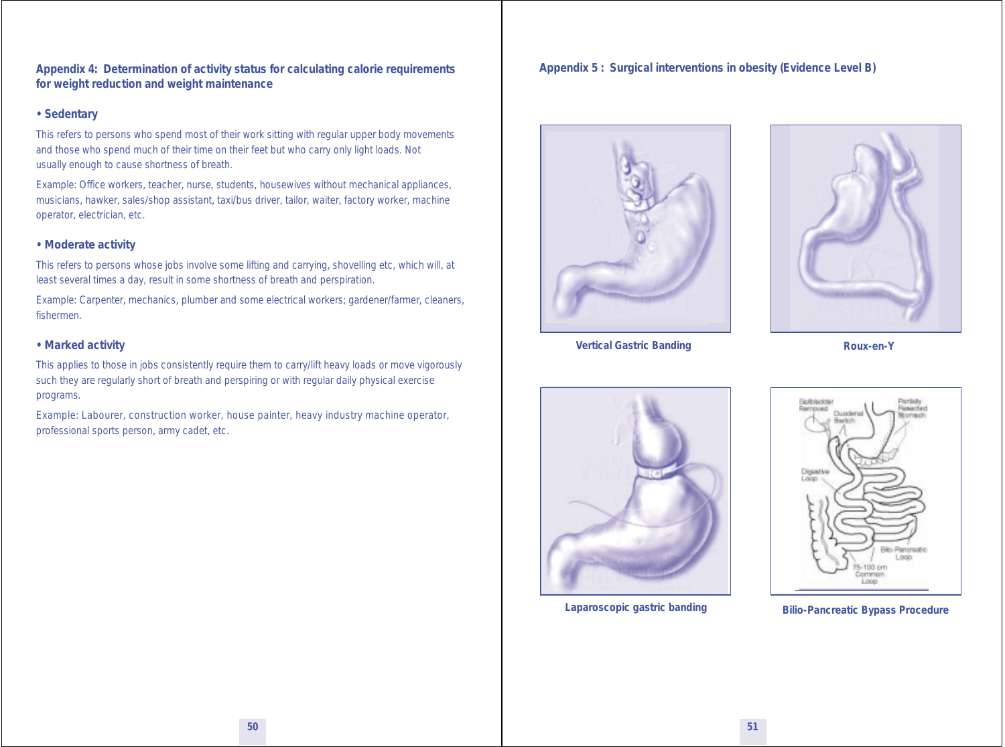**Appendix 4: Determination of activity status for calculating calorie requirements for weight reduction and weight maintenance**

#### **• Sedentary**

This refers to persons who spend most of their work sitting with regular upper body movements and those who spend much of their time on their feet but who carry only light loads. Not usually enough to cause shortness of breath.

Example: Office workers, teacher, nurse, students, housewives without mechanical appliances, musicians, hawker, sales/shop assistant, taxi/bus driver, tailor, waiter, factory worker, machine operator, electrician, etc.

#### **• Moderate activity**

This refers to persons whose jobs involve some lifting and carrying, shovelling etc, which will, at least several times a day, result in some shortness of breath and perspiration.

Example: Carpenter, mechanics, plumber and some electrical workers; gardener/farmer, cleaners, fishermen.

#### **• Marked activity**

This applies to those in jobs consistently require them to carry/lift heavy loads or move vigorously such they are regularly short of breath and perspiring or with regular daily physical exercise programs.

Example: Labourer, construction worker, house painter, heavy industry machine operator, professional sports person, army cadet, etc.

#### **Appendix 5 : Surgical interventions in obesity (Evidence Level B)**





**Vertical Gastric Banding Contract Contract Contract Provide Contract Provide Roux-en-Y** 





**Laparoscopic gastric banding Bilio-Pancreatic Bypass Procedure**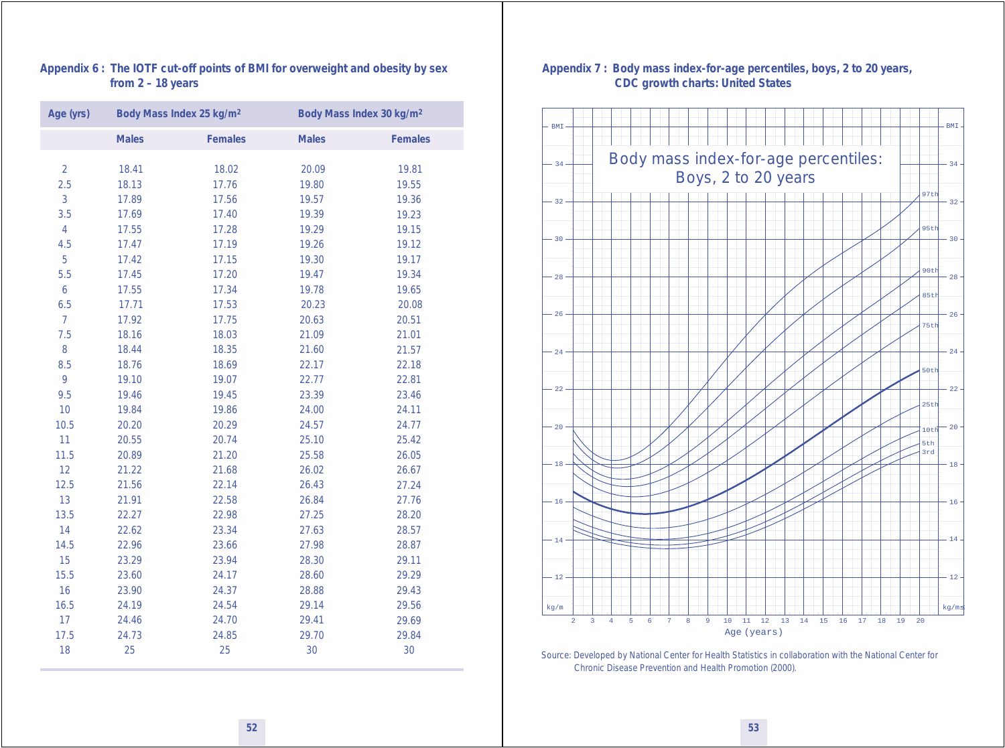#### **Appendix 6 : The IOTF cut-off points of BMI for overweight and obesity by sex from 2 – 18 years**

| Age (yrs)      |              | Body Mass Index 25 kg/m <sup>2</sup> |              | Body Mass Index 30 kg/m <sup>2</sup> |
|----------------|--------------|--------------------------------------|--------------|--------------------------------------|
|                | <b>Males</b> | <b>Females</b>                       | <b>Males</b> | <b>Females</b>                       |
| $\overline{2}$ | 18.41        | 18.02                                | 20.09        | 19.81                                |
| 2.5            | 18.13        | 17.76                                | 19.80        | 19.55                                |
| 3              | 17.89        | 17.56                                | 19.57        | 19.36                                |
| 3.5            | 17.69        | 17.40                                | 19.39        | 19.23                                |
| $\overline{4}$ | 17.55        | 17.28                                | 19.29        | 19.15                                |
| 4.5            | 17.47        | 17.19                                | 19.26        | 19.12                                |
| 5              | 17.42        | 17.15                                | 19.30        | 19.17                                |
| 5.5            | 17.45        | 17.20                                | 19.47        | 19.34                                |
| $\mathbf 6$    | 17.55        | 17.34                                | 19.78        | 19.65                                |
| 6.5            | 17.71        | 17.53                                | 20.23        | 20.08                                |
| $\overline{7}$ | 17.92        | 17.75                                | 20.63        | 20.51                                |
| 7.5            | 18.16        | 18.03                                | 21.09        | 21.01                                |
| 8              | 18.44        | 18.35                                | 21.60        | 21.57                                |
| 8.5            | 18.76        | 18.69                                | 22.17        | 22.18                                |
| 9              | 19.10        | 19.07                                | 22.77        | 22.81                                |
| 9.5            | 19.46        | 19.45                                | 23.39        | 23.46                                |
| 10             | 19.84        | 19.86                                | 24.00        | 24.11                                |
| 10.5           | 20.20        | 20.29                                | 24.57        | 24.77                                |
| 11             | 20.55        | 20.74                                | 25.10        | 25.42                                |
| 11.5           | 20.89        | 21.20                                | 25.58        | 26.05                                |
| 12             | 21.22        | 21.68                                | 26.02        | 26.67                                |
| 12.5           | 21.56        | 22.14                                | 26.43        | 27.24                                |
| 13             | 21.91        | 22.58                                | 26.84        | 27.76                                |
| 13.5           | 22.27        | 22.98                                | 27.25        | 28.20                                |
| 14             | 22.62        | 23.34                                | 27.63        | 28.57                                |
| 14.5           | 22.96        | 23.66                                | 27.98        | 28.87                                |
| 15             | 23.29        | 23.94                                | 28.30        | 29.11                                |
| 15.5           | 23.60        | 24.17                                | 28.60        | 29.29                                |
| 16             | 23.90        | 24.37                                | 28.88        | 29.43                                |
| 16.5           | 24.19        | 24.54                                | 29.14        | 29.56                                |
| 17             | 24.46        | 24.70                                | 29.41        | 29.69                                |
| 17.5           | 24.73        | 24.85                                | 29.70        | 29.84                                |
| 18             | 25           | 25                                   | 30           | 30                                   |

#### **Appendix 7 : Body mass index-for-age percentiles, boys, 2 to 20 years, CDC growth charts: United States**



*Source*: Developed by National Center for Health Statistics in collaboration with the National Center for Chronic Disease Prevention and Health Promotion (2000).

**52 53**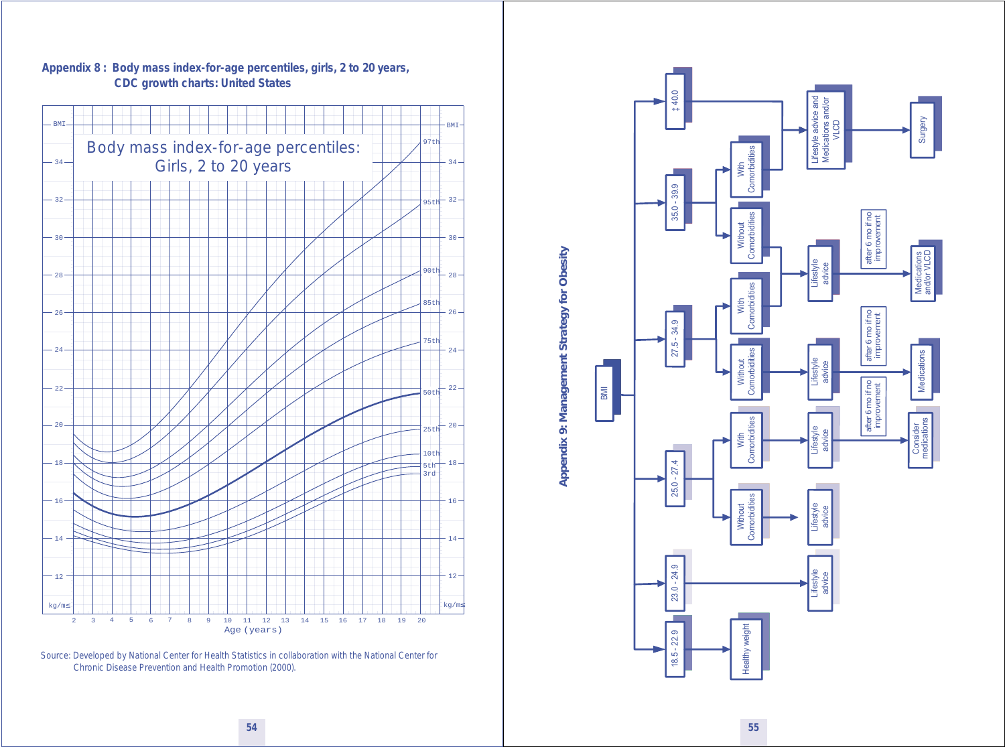

**Appendix 8 : Body mass index-for-age percentiles, girls, 2 to 20 years, CDC growth charts: United States**

*Source*: Developed by National Center for Health Statistics in collaboration with the National Center for Chronic Disease Prevention and Health Promotion (2000).

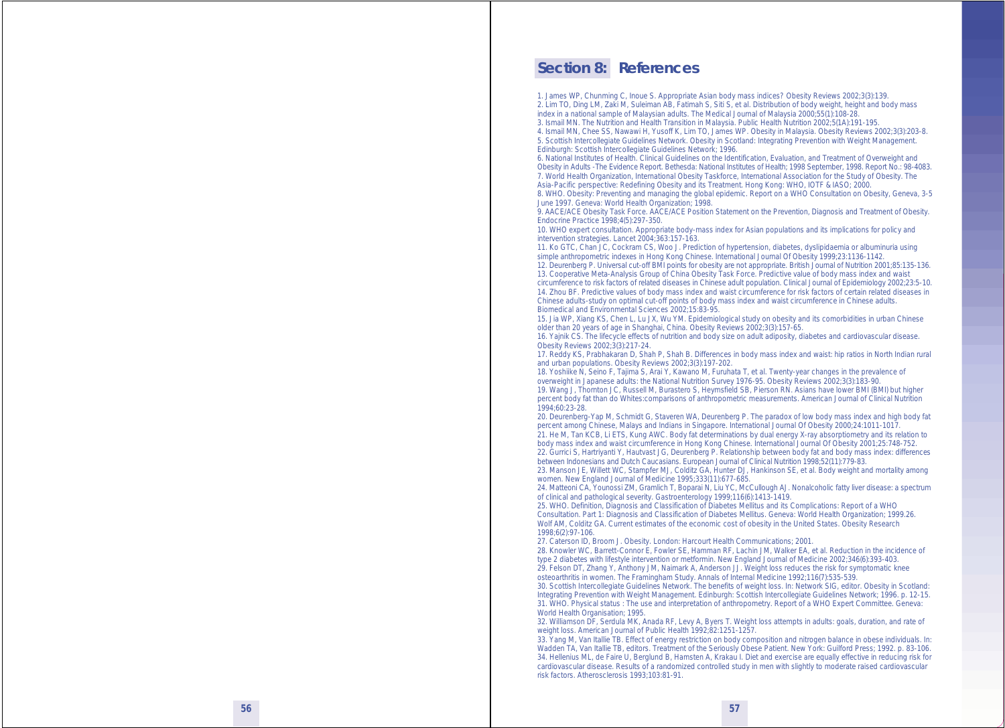#### **Section 8: References**

1. James WP, Chunming C, Inoue S. Appropriate Asian body mass indices? Obesity Reviews 2002;3(3):139. 2. Lim TO, Ding LM, Zaki M, Suleiman AB, Fatimah S, Siti S, et al. Distribution of body weight, height and body mass index in a national sample of Malaysian adults. The Medical Journal of Malaysia 2000;55(1):108-28. 3. Ismail MN. The Nutrition and Health Transition in Malaysia. Public Health Nutrition 2002;5(1A):191-195.

4. Ismail MN, Chee SS, Nawawi H, Yusoff K, Lim TO, James WP. Obesity in Malaysia. Obesity Reviews 2002;3(3):203-8. 5. Scottish Intercollegiate Guidelines Network. Obesity in Scotland: Integrating Prevention with Weight Management. Edinburgh: Scottish Intercollegiate Guidelines Network; 1996.

6. National Institutes of Health. Clinical Guidelines on the Identification, Evaluation, and Treatment of Overweight and Obesity in Adults -The Evidence Report. Bethesda: National Institutes of Health; 1998 September, 1998. Report No.: 98-4083. 7. World Health Organization, International Obesity Taskforce, International Association for the Study of Obesity. The Asia-Pacific perspective: Redefining Obesity and its Treatment. Hong Kong: WHO, IOTF & IASO; 2000.

8. WHO. Obesity: Preventing and managing the global epidemic. Report on a WHO Consultation on Obesity, Geneva, 3-5 June 1997. Geneva: World Health Organization; 1998.

9. AACE/ACE Obesity Task Force. AACE/ACE Position Statement on the Prevention, Diagnosis and Treatment of Obesity. Endocrine Practice 1998;4(5):297-350.

10. WHO expert consultation. Appropriate body-mass index for Asian populations and its implications for policy and intervention strategies. Lancet 2004;363:157-163.

11. Ko GTC, Chan JC, Cockram CS, Woo J. Prediction of hypertension, diabetes, dyslipidaemia or albuminuria using simple anthropometric indexes in Hong Kong Chinese. International Journal Of Obesity 1999;23:1136-1142. 12. Deurenberg P. Universal cut-off BMI points for obesity are not appropriate. British Journal of Nutrition 2001;85:135-136. 13. Cooperative Meta-Analysis Group of China Obesity Task Force. Predictive value of body mass index and waist circumference to risk factors of related diseases in Chinese adult population. Clinical Journal of Epidemiology 2002;23:5-10. 14. Zhou BF. Predictive values of body mass index and waist circumference for risk factors of certain related diseases in

Chinese adults-study on optimal cut-off points of body mass index and waist circumference in Chinese adults. Biomedical and Environmental Sciences 2002;15:83-95.

15. Jia WP, Xiang KS, Chen L, Lu JX, Wu YM. Epidemiological study on obesity and its comorbidities in urban Chinese older than 20 years of age in Shanghai, China. Obesity Reviews 2002;3(3):157-65.

16. Yajnik CS. The lifecycle effects of nutrition and body size on adult adiposity, diabetes and cardiovascular disease. Obesity Reviews 2002;3(3):217-24.

17. Reddy KS, Prabhakaran D, Shah P, Shah B. Differences in body mass index and waist: hip ratios in North Indian rural and urban populations. Obesity Reviews 2002;3(3):197-202.

18. Yoshiike N, Seino F, Tajima S, Arai Y, Kawano M, Furuhata T, et al. Twenty-year changes in the prevalence of overweight in Japanese adults: the National Nutrition Survey 1976-95. Obesity Reviews 2002;3(3):183-90. 19. Wang J, Thornton JC, Russell M, Burastero S, Heymsfield SB, Pierson RN. Asians have lower BMI (BMI) but higher percent body fat than do Whites:comparisons of anthropometric measurements. American Journal of Clinical Nutrition 1994;60:23-28.

20. Deurenberg-Yap M, Schmidt G, Staveren WA, Deurenberg P. The paradox of low body mass index and high body fat percent among Chinese, Malays and Indians in Singapore. International Journal Of Obesity 2000;24:1011-1017. 21. He M, Tan KCB, Li ETS, Kung AWC. Body fat determinations by dual energy X-ray absorptiometry and its relation to

body mass index and waist circumference in Hong Kong Chinese. International Journal Of Obesity 2001;25:748-752. 22. Gurrici S, Hartriyanti Y, Hautvast JG, Deurenberg P. Relationship between body fat and body mass index: differences between Indonesians and Dutch Caucasians. European Journal of Clinical Nutrition 1998;52(11):779-83.

23. Manson JE, Willett WC, Stampfer MJ, Colditz GA, Hunter DJ, Hankinson SE, et al. Body weight and mortality among women. New England Journal of Medicine 1995;333(11):677-685.

24. Matteoni CA, Younossi ZM, Gramlich T, Boparai N, Liu YC, McCullough AJ. Nonalcoholic fatty liver disease: a spectrum of clinical and pathological severity. Gastroenterology 1999;116(6):1413-1419.

25. WHO. Definition, Diagnosis and Classification of Diabetes Mellitus and its Complications: Report of a WHO Consultation. Part 1: Diagnosis and Classification of Diabetes Mellitus. Geneva: World Health Organization; 1999.26. Wolf AM, Colditz GA. Current estimates of the economic cost of obesity in the United States. Obesity Research 1998;6(2):97-106.

27. Caterson ID, Broom J. Obesity. London: Harcourt Health Communications; 2001.

28. Knowler WC, Barrett-Connor E, Fowler SE, Hamman RF, Lachin JM, Walker EA, et al. Reduction in the incidence of type 2 diabetes with lifestyle intervention or metformin. New England Journal of Medicine 2002;346(6):393-403. 29. Felson DT, Zhang Y, Anthony JM, Naimark A, Anderson JJ. Weight loss reduces the risk for symptomatic knee osteoarthritis in women. The Framingham Study. Annals of Internal Medicine 1992;116(7):535-539.

30. Scottish Intercollegiate Guidelines Network. The benefits of weight loss. In: Network SIG, editor. Obesity in Scotland: Integrating Prevention with Weight Management. Edinburgh: Scottish Intercollegiate Guidelines Network; 1996. p. 12-15. 31. WHO. Physical status : The use and interpretation of anthropometry. Report of a WHO Expert Committee. Geneva: World Health Organisation: 1995.

32. Williamson DF, Serdula MK, Anada RF, Levy A, Byers T. Weight loss attempts in adults: goals, duration, and rate of weight loss. American Journal of Public Health 1992;82:1251-1257.

33. Yang M, Van Itallie TB. Effect of energy restriction on body composition and nitrogen balance in obese individuals. In: Wadden TA, Van Itallie TB, editors. Treatment of the Seriously Obese Patient. New York: Guilford Press; 1992. p. 83-106. 34. Hellenius ML, de Faire U, Berglund B, Hamsten A, Krakau I. Diet and exercise are equally effective in reducing risk for cardiovascular disease. Results of a randomized controlled study in men with slightly to moderate raised cardiovascular risk factors. Atherosclerosis 1993;103:81-91.